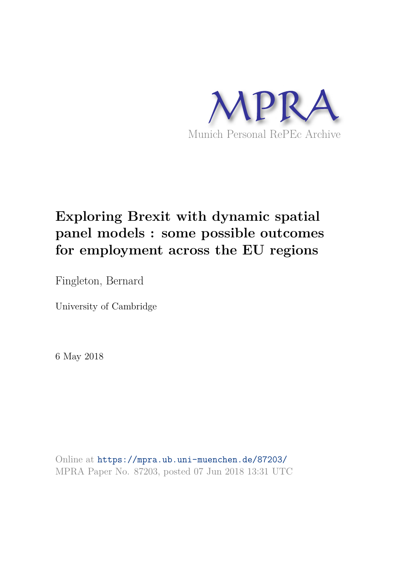

# **Exploring Brexit with dynamic spatial panel models : some possible outcomes for employment across the EU regions**

Fingleton, Bernard

University of Cambridge

6 May 2018

Online at https://mpra.ub.uni-muenchen.de/87203/ MPRA Paper No. 87203, posted 07 Jun 2018 13:31 UTC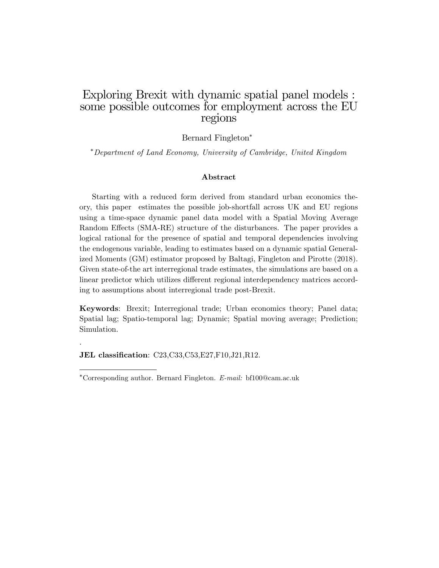#### Exploring Brexit with dynamic spatial panel models : some possible outcomes for employment across the EU regions

#### Bernard Fingleton

Department of Land Economy, University of Cambridge, United Kingdom

#### Abstract

Starting with a reduced form derived from standard urban economics theory, this paper estimates the possible job-shortfall across UK and EU regions using a time-space dynamic panel data model with a Spatial Moving Average Random Effects (SMA-RE) structure of the disturbances. The paper provides a logical rational for the presence of spatial and temporal dependencies involving the endogenous variable, leading to estimates based on a dynamic spatial Generalized Moments (GM) estimator proposed by Baltagi, Fingleton and Pirotte (2018). Given state-of-the art interregional trade estimates, the simulations are based on a linear predictor which utilizes different regional interdependency matrices according to assumptions about interregional trade post-Brexit.

Keywords: Brexit; Interregional trade; Urban economics theory; Panel data; Spatial lag; Spatio-temporal lag; Dynamic; Spatial moving average; Prediction; Simulation.

JEL classification: C23,C33,C53,E27,F10,J21,R12.

.

Corresponding author. Bernard Fingleton. E-mail: bf100@cam.ac.uk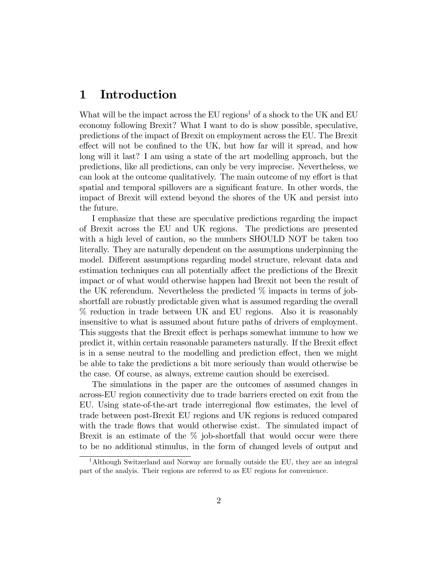# 1 Introduction

What will be the impact across the  $EU$  regions<sup>1</sup> of a shock to the UK and  $EU$ economy following Brexit? What I want to do is show possible, speculative, predictions of the impact of Brexit on employment across the EU. The Brexit effect will not be confined to the UK, but how far will it spread, and how long will it last? I am using a state of the art modelling approach, but the predictions, like all predictions, can only be very imprecise. Nevertheless, we can look at the outcome qualitatively. The main outcome of my effort is that spatial and temporal spillovers are a significant feature. In other words, the impact of Brexit will extend beyond the shores of the UK and persist into the future.

I emphasize that these are speculative predictions regarding the impact of Brexit across the EU and UK regions. The predictions are presented with a high level of caution, so the numbers SHOULD NOT be taken too literally. They are naturally dependent on the assumptions underpinning the model. Different assumptions regarding model structure, relevant data and estimation techniques can all potentially affect the predictions of the Brexit impact or of what would otherwise happen had Brexit not been the result of the UK referendum. Nevertheless the predicted  $\%$  impacts in terms of jobshortfall are robustly predictable given what is assumed regarding the overall % reduction in trade between UK and EU regions. Also it is reasonably insensitive to what is assumed about future paths of drivers of employment. This suggests that the Brexit effect is perhaps somewhat immune to how we predict it, within certain reasonable parameters naturally. If the Brexit effect is in a sense neutral to the modelling and prediction effect, then we might be able to take the predictions a bit more seriously than would otherwise be the case. Of course, as always, extreme caution should be exercised.

The simulations in the paper are the outcomes of assumed changes in across-EU region connectivity due to trade barriers erected on exit from the EU. Using state-of-the-art trade interregional áow estimates, the level of trade between post-Brexit EU regions and UK regions is reduced compared with the trade flows that would otherwise exist. The simulated impact of Brexit is an estimate of the % job-shortfall that would occur were there to be no additional stimulus, in the form of changed levels of output and

<sup>&</sup>lt;sup>1</sup>Although Switzerland and Norway are formally outside the EU, they are an integral part of the analyis. Their regions are referred to as EU regions for convenience.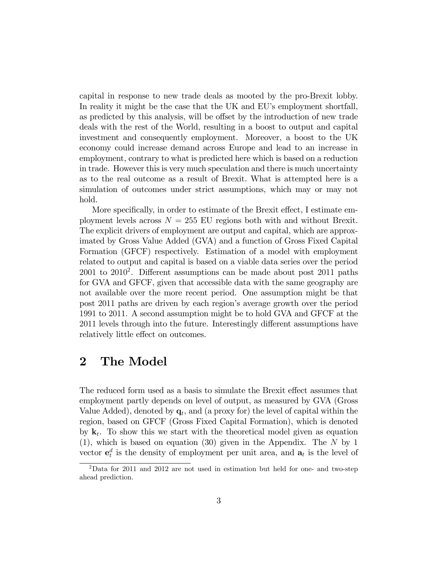capital in response to new trade deals as mooted by the pro-Brexit lobby. In reality it might be the case that the UK and EU's employment shortfall, as predicted by this analysis, will be offset by the introduction of new trade deals with the rest of the World, resulting in a boost to output and capital investment and consequently employment. Moreover, a boost to the UK economy could increase demand across Europe and lead to an increase in employment, contrary to what is predicted here which is based on a reduction in trade. However this is very much speculation and there is much uncertainty as to the real outcome as a result of Brexit. What is attempted here is a simulation of outcomes under strict assumptions, which may or may not hold.

More specifically, in order to estimate of the Brexit effect, I estimate employment levels across  $N = 255$  EU regions both with and without Brexit. The explicit drivers of employment are output and capital, which are approximated by Gross Value Added (GVA) and a function of Gross Fixed Capital Formation (GFCF) respectively. Estimation of a model with employment related to output and capital is based on a viable data series over the period  $2001$  to  $2010<sup>2</sup>$ . Different assumptions can be made about post  $2011$  paths for GVA and GFCF, given that accessible data with the same geography are not available over the more recent period. One assumption might be that post 2011 paths are driven by each regionís average growth over the period 1991 to 2011. A second assumption might be to hold GVA and GFCF at the 2011 levels through into the future. Interestingly different assumptions have relatively little effect on outcomes.

### 2 The Model

The reduced form used as a basis to simulate the Brexit effect assumes that employment partly depends on level of output, as measured by GVA (Gross Value Added), denoted by  $\mathbf{q}_t$ , and (a proxy for) the level of capital within the region, based on GFCF (Gross Fixed Capital Formation), which is denoted by  $\mathbf{k}_t$ . To show this we start with the theoretical model given as equation (1), which is based on equation (30) given in the Appendix. The N by 1 vector  $e_t^d$  is the density of employment per unit area, and  $a_t$  is the level of

 $2$ Data for 2011 and 2012 are not used in estimation but held for one- and two-step ahead prediction.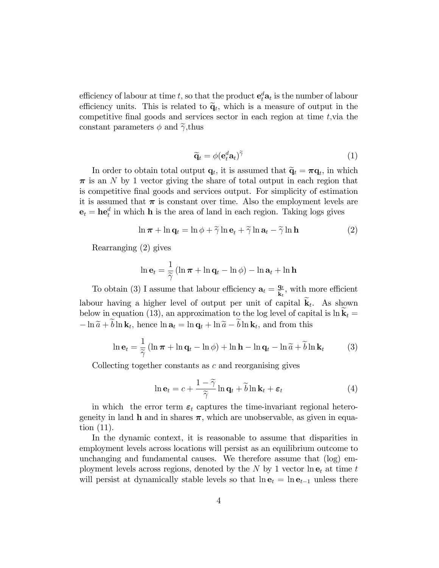efficiency of labour at time t, so that the product  $e_t^d a_t$  is the number of labour efficiency units. This is related to  $\widetilde{q}_t$ , which is a measure of output in the competitive final goods and services sector in each region at time  $t$ , via the constant parameters  $\phi$  and  $\tilde{\gamma}$ , thus

$$
\widetilde{\mathbf{q}}_t = \phi(\mathbf{e}_t^d \mathbf{a}_t)^\gamma \tag{1}
$$

In order to obtain total output  $\mathbf{q}_t$ , it is assumed that  $\widetilde{\mathbf{q}}_t = \boldsymbol{\pi} \mathbf{q}_t$ , in which  $\pi$  is an N by 1 vector giving the share of total output in each region that is competitive Önal goods and services output. For simplicity of estimation it is assumed that  $\pi$  is constant over time. Also the employment levels are  $\mathbf{e}_t = \mathbf{he}_t^d$  in which **h** is the area of land in each region. Taking logs gives

$$
\ln \pi + \ln \mathbf{q}_t = \ln \phi + \widetilde{\gamma} \ln \mathbf{e}_t + \widetilde{\gamma} \ln \mathbf{a}_t - \widetilde{\gamma} \ln \mathbf{h}
$$
 (2)

Rearranging (2) gives

$$
\ln \mathbf{e}_t = \frac{1}{\widetilde{\gamma}} \left( \ln \boldsymbol{\pi} + \ln \mathbf{q}_t - \ln \phi \right) - \ln \mathbf{a}_t + \ln \mathbf{h}
$$

To obtain (3) I assume that labour efficiency  $\mathbf{a}_t = \frac{\mathbf{q}_t}{\mathbf{k}_t}$ , with more efficient labour having a higher level of output per unit of capital  $\mathbf{k}_t$ . As shown below in equation (13), an approximation to the log level of capital is  $\ln k_t =$  $-\ln \widetilde{a} + b \ln \mathbf{k}_t$ , hence  $\ln \mathbf{a}_t = \ln \mathbf{q}_t + \ln \widetilde{a} - b \ln \mathbf{k}_t$ , and from this

$$
\ln \mathbf{e}_t = \frac{1}{\widetilde{\gamma}} \left( \ln \pi + \ln \mathbf{q}_t - \ln \phi \right) + \ln \mathbf{h} - \ln \mathbf{q}_t - \ln \widetilde{a} + \widetilde{b} \ln \mathbf{k}_t \tag{3}
$$

Collecting together constants as c and reorganising gives

$$
\ln \mathbf{e}_t = c + \frac{1 - \widetilde{\gamma}}{\widetilde{\gamma}} \ln \mathbf{q}_t + \widetilde{b} \ln \mathbf{k}_t + \varepsilon_t \tag{4}
$$

in which the error term  $\varepsilon_t$  captures the time-invariant regional heterogeneity in land h and in shares  $\pi$ , which are unobservable, as given in equation (11).

In the dynamic context, it is reasonable to assume that disparities in employment levels across locations will persist as an equilibrium outcome to unchanging and fundamental causes. We therefore assume that (log) employment levels across regions, denoted by the N by 1 vector  $\ln e_t$  at time t will persist at dynamically stable levels so that  $\ln e_t = \ln e_{t-1}$  unless there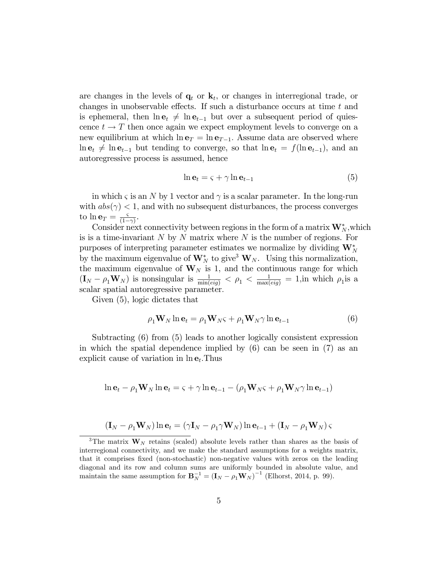are changes in the levels of  $\mathbf{q}_t$  or  $\mathbf{k}_t$ , or changes in interregional trade, or changes in unobservable effects. If such a disturbance occurs at time  $t$  and is ephemeral, then  $\ln e_t \neq \ln e_{t-1}$  but over a subsequent period of quiescence  $t \to T$  then once again we expect employment levels to converge on a new equilibrium at which  $\ln e_T = \ln e_{T-1}$ . Assume data are observed where  $\ln {\bf e}_t \neq \ln {\bf e}_{t-1}$  but tending to converge, so that  $\ln {\bf e}_t = f(\ln {\bf e}_{t-1})$ , and an autoregressive process is assumed, hence

$$
\ln \mathbf{e}_t = \varsigma + \gamma \ln \mathbf{e}_{t-1} \tag{5}
$$

in which  $\varsigma$  is an N by 1 vector and  $\gamma$  is a scalar parameter. In the long-run with  $abs(\gamma) < 1$ , and with no subsequent disturbances, the process converges to  $\ln {\mathbf{e}_T} = \frac{\varsigma}{(1 - \varsigma)}$  $\frac{\varsigma}{(1-\gamma)}$ .

Consider next connectivity between regions in the form of a matrix  $\mathbf{W}_{N}^{*}$ , which is is a time-invariant  $N$  by  $N$  matrix where  $N$  is the number of regions. For purposes of interpreting parameter estimates we normalize by dividing  $\mathbf{W}_N^*$ by the maximum eigenvalue of  $\mathbf{W}_N^*$  to give<sup>3</sup>  $\mathbf{W}_N$ . Using this normalization, the maximum eigenvalue of  $W_N$  is 1, and the continuous range for which  $(I_N - \rho_1 \mathbf{W}_N)$  is nonsingular is  $\frac{1}{\min(eig)} < \rho_1 < \frac{1}{\max(eig)} = 1$ , in which  $\rho_1$  is a scalar spatial autoregressive parameter:

Given (5), logic dictates that

$$
\rho_1 \mathbf{W}_N \ln \mathbf{e}_t = \rho_1 \mathbf{W}_N \varsigma + \rho_1 \mathbf{W}_N \gamma \ln \mathbf{e}_{t-1}
$$
\n(6)

Subtracting (6) from (5) leads to another logically consistent expression in which the spatial dependence implied by  $(6)$  can be seen in  $(7)$  as an explicit cause of variation in  $\ln e_t$ . Thus

$$
\ln \mathbf{e}_t - \rho_1 \mathbf{W}_N \ln \mathbf{e}_t = \varsigma + \gamma \ln \mathbf{e}_{t-1} - (\rho_1 \mathbf{W}_N \varsigma + \rho_1 \mathbf{W}_N \gamma \ln \mathbf{e}_{t-1})
$$

$$
(\mathbf{I}_N - \rho_1 \mathbf{W}_N) \ln \mathbf{e}_t = (\gamma \mathbf{I}_N - \rho_1 \gamma \mathbf{W}_N) \ln \mathbf{e}_{t-1} + (\mathbf{I}_N - \rho_1 \mathbf{W}_N) \varsigma
$$

<sup>&</sup>lt;sup>3</sup>The matrix  $W_N$  retains (scaled) absolute levels rather than shares as the basis of interregional connectivity, and we make the standard assumptions for a weights matrix, that it comprises Öxed (non-stochastic) non-negative values with zeros on the leading diagonal and its row and column sums are uniformly bounded in absolute value, and maintain the same assumption for  $\mathbf{B}_N^{-1} = (\mathbf{I}_N - \rho_1 \mathbf{W}_N)^{-1}$  (Elhorst, 2014, p. 99).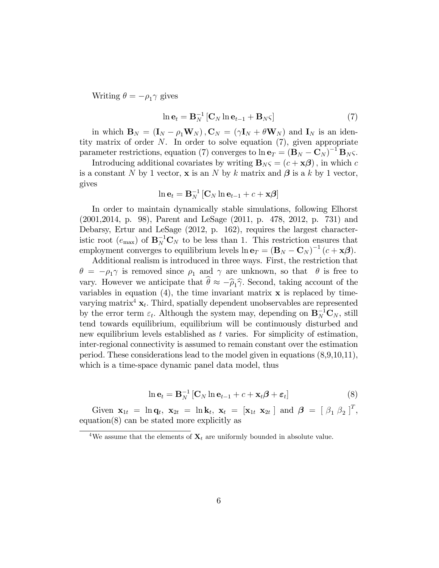Writing  $\theta = -\rho_1 \gamma$  gives

$$
\ln \mathbf{e}_t = \mathbf{B}_N^{-1} [\mathbf{C}_N \ln \mathbf{e}_{t-1} + \mathbf{B}_N \varsigma]
$$
 (7)

in which  $\mathbf{B}_N = (\mathbf{I}_N - \rho_1 \mathbf{W}_N)$ ,  $\mathbf{C}_N = (\gamma \mathbf{I}_N + \theta \mathbf{W}_N)$  and  $\mathbf{I}_N$  is an identity matrix of order  $N$ . In order to solve equation  $(7)$ , given appropriate parameter restrictions, equation (7) converges to  $\ln \mathbf{e}_T = (\mathbf{B}_N - \mathbf{C}_N)^{-1} \mathbf{B}_N$ .

Introducing additional covariates by writing  $\mathbf{B}_{N}\varsigma = (c + \mathbf{x}\boldsymbol{\beta})$ , in which c is a constant N by 1 vector,  $\bf{x}$  is an N by k matrix and  $\boldsymbol{\beta}$  is a k by 1 vector, gives

$$
\ln \mathbf{e}_{t} = \mathbf{B}_{N}^{-1} \left[ \mathbf{C}_{N} \ln \mathbf{e}_{t-1} + c + \mathbf{x} \boldsymbol{\beta} \right]
$$

In order to maintain dynamically stable simulations, following Elhorst (2001,2014, p. 98), Parent and LeSage (2011, p. 478, 2012, p. 731) and Debarsy, Ertur and LeSage (2012, p. 162), requires the largest characteristic root  $(e_{\text{max}})$  of  $\mathbf{B}_N^{-1}\mathbf{C}_N$  to be less than 1. This restriction ensures that employment converges to equilibrium levels  $\ln \mathbf{e}_T = (\mathbf{B}_N - \mathbf{C}_N)^{-1} (c + \mathbf{x}\boldsymbol{\beta}).$ 

Additional realism is introduced in three ways. First, the restriction that  $\theta = -\rho_1 \gamma$  is removed since  $\rho_1$  and  $\gamma$  are unknown, so that  $\theta$  is free to vary. However we anticipate that  $\hat{\theta} \approx -\hat{\rho}_1 \hat{\gamma}$ . Second, taking account of the variables in equation (4), the time invariant matrix  $\bf{x}$  is replaced by timevarying matrix<sup>4</sup>  $\mathbf{x}_t$ . Third, spatially dependent unobservables are represented by the error term  $\varepsilon_t$ . Although the system may, depending on  $\mathbf{B}_N^{-1}\mathbf{C}_N$ , still tend towards equilibrium, equilibrium will be continuously disturbed and new equilibrium levels established as  $t$  varies. For simplicity of estimation, inter-regional connectivity is assumed to remain constant over the estimation period. These considerations lead to the model given in equations (8,9,10,11), which is a time-space dynamic panel data model, thus

$$
\ln \mathbf{e}_t = \mathbf{B}_N^{-1} \left[ \mathbf{C}_N \ln \mathbf{e}_{t-1} + c + \mathbf{x}_t \boldsymbol{\beta} + \boldsymbol{\varepsilon}_t \right]
$$
(8)

Given  $\mathbf{x}_{1t} = \ln \mathbf{q}_t$ ,  $\mathbf{x}_{2t} = \ln \mathbf{k}_t$ ,  $\mathbf{x}_t = [\mathbf{x}_{1t} \ \mathbf{x}_{2t}]$  and  $\boldsymbol{\beta} = [\beta_1 \ \beta_2]^T$ , equation(8) can be stated more explicitly as

<sup>&</sup>lt;sup>4</sup>We assume that the elements of  $\mathbf{X}_t$  are uniformly bounded in absolute value.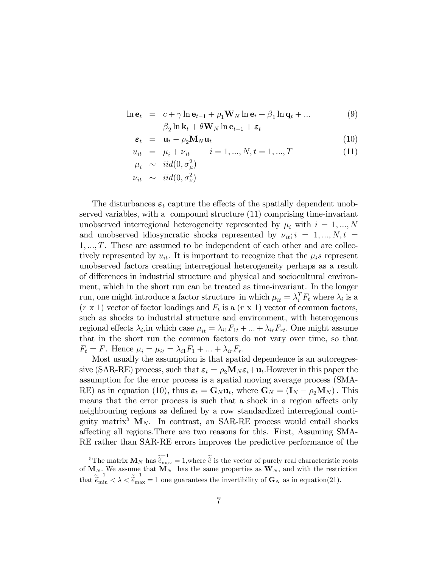$$
\ln \mathbf{e}_t = c + \gamma \ln \mathbf{e}_{t-1} + \rho_1 \mathbf{W}_N \ln \mathbf{e}_t + \beta_1 \ln \mathbf{q}_t + \dots
$$
  

$$
\beta_2 \ln \mathbf{k}_t + \theta \mathbf{W}_N \ln \mathbf{e}_{t-1} + \varepsilon_t
$$
 (9)

$$
\varepsilon_t = \mathbf{u}_t - \rho_2 \mathbf{M}_N \mathbf{u}_t \tag{10}
$$

$$
u_{it} = \mu_i + \nu_{it} \qquad i = 1, ..., N, t = 1, ..., T \qquad (11)
$$

$$
\mu_i \sim \text{iid}(0, \sigma_\mu^2)
$$
  

$$
\nu_{it} \sim \text{iid}(0, \sigma_\nu^2)
$$

The disturbances  $\varepsilon_t$  capture the effects of the spatially dependent unobserved variables, with a compound structure (11) comprising time-invariant unobserved interregional heterogeneity represented by  $\mu_i$  with  $i = 1, ..., N$ and unobserved idiosyncratic shocks represented by  $\nu_{it}; i = 1, ..., N, t =$  $1, \ldots, T$ . These are assumed to be independent of each other and are collectively represented by  $u_{it}$ . It is important to recognize that the  $\mu_i$ s represent unobserved factors creating interregional heterogeneity perhaps as a result of differences in industrial structure and physical and sociocultural environment, which in the short run can be treated as time-invariant. In the longer run, one might introduce a factor structure in which  $\mu_{it} = \lambda_i^T F_t$  where  $\lambda_i$  is a  $(r \times 1)$  vector of factor loadings and  $F_t$  is a  $(r \times 1)$  vector of common factors, such as shocks to industrial structure and environment, with heterogenous regional effects  $\lambda_i$ , in which case  $\mu_{it} = \lambda_{i1}F_{1t} + ... + \lambda_{ir}F_{rt}$ . One might assume that in the short run the common factors do not vary over time, so that  $F_t = F$ . Hence  $\mu_i = \mu_{it} = \lambda_{i1}F_1 + \ldots + \lambda_{ir}F_r$ .

Most usually the assumption is that spatial dependence is an autoregressive (SAR-RE) process, such that  $\varepsilon_t = \rho_2 \mathbf{M}_N \varepsilon_t + \mathbf{u}_t$ . However in this paper the assumption for the error process is a spatial moving average process (SMA-RE) as in equation (10), thus  $\varepsilon_t = \mathbf{G}_N \mathbf{u}_t$ , where  $\mathbf{G}_N = (\mathbf{I}_N - \rho_2 \mathbf{M}_N)$ . This means that the error process is such that a shock in a region affects only neighbouring regions as defined by a row standardized interregional contiguity matrix<sup>5</sup>  $M_N$ . In contrast, an SAR-RE process would entail shocks affecting all regions. There are two reasons for this. First, Assuming SMA-RE rather than SAR-RE errors improves the predictive performance of the

<sup>&</sup>lt;sup>5</sup>The matrix  $M_N$  has  $\tilde{e}_{\text{max}}^{-1} = 1$ , where  $\tilde{e}$  is the vector of purely real characteristic roots of  $M_N$ . We assume that  $M_N$  has the same properties as  $W_N$ , and with the restriction that  $\tilde{\tilde{e}}_{\min}^{-1} < \lambda < \tilde{\tilde{e}}_{\max}^{-1} = 1$  one guarantees the invertibility of  $\mathbf{G}_N$  as in equation(21).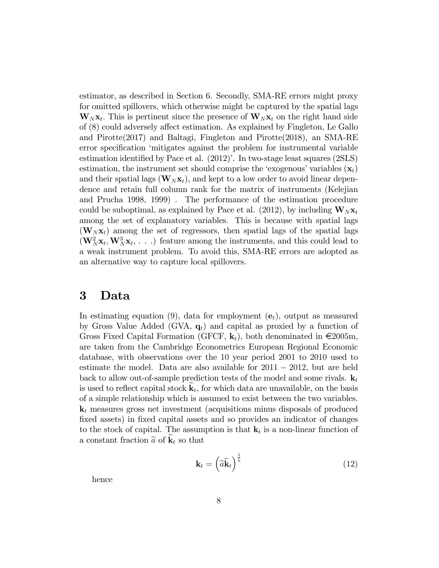estimator, as described in Section 6. Secondly, SMA-RE errors might proxy for omitted spillovers, which otherwise might be captured by the spatial lags  $\mathbf{W}_N \mathbf{x}_t$ . This is pertinent since the presence of  $\mathbf{W}_N \mathbf{x}_t$  on the right hand side of  $(8)$  could adversely affect estimation. As explained by Fingleton, Le Gallo and Pirotte(2017) and Baltagi, Fingleton and Pirotte(2018), an SMA-RE error specification 'mitigates against the problem for instrumental variable estimation identified by Pace et al.  $(2012)$ . In two-stage least squares  $(2SLS)$ estimation, the instrument set should comprise the 'exogenous' variables  $(\mathbf{x}_t)$ and their spatial lags  $(\mathbf{W}_N \mathbf{x}_t)$ , and kept to a low order to avoid linear dependence and retain full column rank for the matrix of instruments (Kelejian and Prucha 1998, 1999) . The performance of the estimation procedure could be suboptimal, as explained by Pace et al. (2012), by including  $\mathbf{W}_N\mathbf{x}_t$ among the set of explanatory variables. This is because with spatial lags  $(\mathbf{W}_N \mathbf{x}_t)$  among the set of regressors, then spatial lags of the spatial lags  $(\mathbf{W}_N^2 \mathbf{x}_t, \mathbf{W}_N^3 \mathbf{x}_t, \dots)$  feature among the instruments, and this could lead to a weak instrument problem. To avoid this, SMA-RE errors are adopted as an alternative way to capture local spillovers.

#### 3 Data

In estimating equation (9), data for employment  $(e_t)$ , output as measured by Gross Value Added (GVA,  $q_t$ ) and capital as proxied by a function of Gross Fixed Capital Formation (GFCF,  $\mathbf{k}_t$ ), both denominated in  $\in \{2005m,$ are taken from the Cambridge Econometrics European Regional Economic database, with observations over the 10 year period 2001 to 2010 used to estimate the model. Data are also available for  $2011 - 2012$ , but are held back to allow out-of-sample prediction tests of the model and some rivals.  $\mathbf{k}_t$ is used to reflect capital stock  $\mathbf{k}_t$ , for which data are unavailable, on the basis of a simple relationship which is assumed to exist between the two variables.  $\mathbf{k}_t$  measures gross net investment (acquisitions minus disposals of produced fixed assets) in fixed capital assets and so provides an indicator of changes to the stock of capital. The assumption is that  $\mathbf{k}_t$  is a non-linear function of a constant fraction  $\tilde{a}$  of  $\mathbf{k}_t$  so that

$$
\mathbf{k}_t = \left(\widetilde{a}\widetilde{\mathbf{k}}_t\right)^{\frac{1}{b}}\tag{12}
$$

hence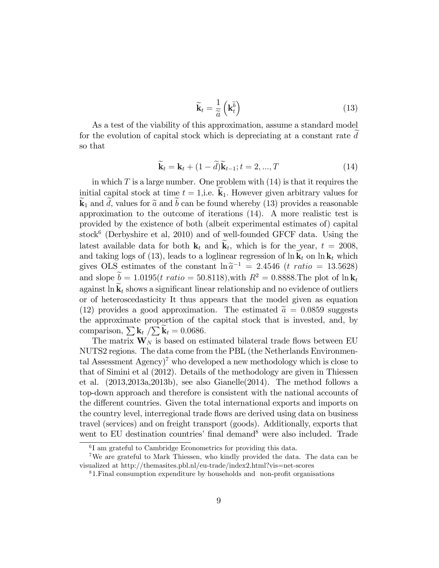$$
\widetilde{\mathbf{k}}_t = \frac{1}{\widetilde{a}} \left( \mathbf{k}_t \widetilde{b} \right) \tag{13}
$$

As a test of the viability of this approximation, assume a standard model for the evolution of capital stock which is depreciating at a constant rate  $d$ so that

$$
\widetilde{\mathbf{k}}_t = \mathbf{k}_t + (1 - \widetilde{d})\widetilde{\mathbf{k}}_{t-1}; t = 2, ..., T
$$
\n(14)

in which  $T$  is a large number. One problem with  $(14)$  is that it requires the initial capital stock at time  $t = 1$ , i.e.  $\mathbf{k}_1$ . However given arbitrary values for  $\mathbf{k}_1$  and d, values for  $\tilde{a}$  and b can be found whereby (13) provides a reasonable approximation to the outcome of iterations (14). A more realistic test is provided by the existence of both (albeit experimental estimates of) capital stock<sup>6</sup> (Derbyshire et al, 2010) and of well-founded GFCF data. Using the latest available data for both  $\mathbf{k}_t$  and  $\mathbf{k}_t$ , which is for the year,  $t = 2008$ , and taking logs of (13), leads to a loglinear regression of  $\ln k_t$  on  $\ln k_t$  which gives OLS estimates of the constant  $\ln \tilde{a}^{-1} = 2.4546$  (t ratio = 13.5628) and slope  $\tilde{b} = 1.0195(t \; ratio = 50.8118)$ , with  $R^2 = 0.8888$ . The plot of  $\ln k_t$ against  $\ln k_t$  shows a significant linear relationship and no evidence of outliers or of heteroscedasticity It thus appears that the model given as equation (12) provides a good approximation. The estimated  $\tilde{a} = 0.0859$  suggests the approximate proportion of the capital stock that is invested, and, by comparison,  $\sum \mathbf{k}_t / \sum \widetilde{\mathbf{k}}_t = 0.0686$ .

The matrix  $\mathbf{W}_N$  is based on estimated bilateral trade flows between EU NUTS2 regions. The data come from the PBL (the Netherlands Environmental Assessment  $\text{Agency}$ <sup> $\prime$ </sup> who developed a new methodology which is close to that of Simini et al (2012). Details of the methodology are given in Thiessen et al. (2013,2013a,2013b), see also Gianelle(2014). The method follows a top-down approach and therefore is consistent with the national accounts of the different countries. Given the total international exports and imports on the country level, interregional trade flows are derived using data on business travel (services) and on freight transport (goods). Additionally, exports that went to EU destination countries' final demand<sup>8</sup> were also included. Trade

<sup>6</sup> I am grateful to Cambridge Econometrics for providing this data.

<sup>&</sup>lt;sup>7</sup>We are grateful to Mark Thiessen, who kindly provided the data. The data can be visualized at http://themasites.pbl.nl/eu-trade/index2.html?vis=net-scores

 $81.$  Final consumption expenditure by households and non-profit organisations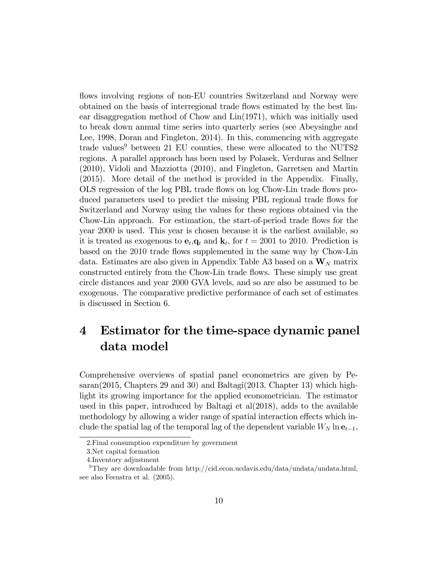flows involving regions of non-EU countries Switzerland and Norway were obtained on the basis of interregional trade áows estimated by the best linear disaggregation method of Chow and  $Lin(1971)$ , which was initially used to break down annual time series into quarterly series (see Abeysinghe and Lee, 1998, Doran and Fingleton, 2014). In this, commencing with aggregate trade values $9$  between 21 EU counties, these were allocated to the NUTS2 regions. A parallel approach has been used by Polasek, Verduras and Sellner (2010), Vidoli and Mazziotta (2010), and Fingleton, Garretsen and Martin (2015). More detail of the method is provided in the Appendix. Finally, OLS regression of the log PBL trade áows on log Chow-Lin trade áows produced parameters used to predict the missing PBL regional trade flows for Switzerland and Norway using the values for these regions obtained via the Chow-Lin approach. For estimation, the start-of-period trade flows for the year 2000 is used. This year is chosen because it is the earliest available, so it is treated as exogenous to  $\mathbf{e}_t$ ,  $\mathbf{q}_t$  and  $\mathbf{k}_t$ , for  $t = 2001$  to 2010. Prediction is based on the 2010 trade flows supplemented in the same way by Chow-Lin data. Estimates are also given in Appendix Table A3 based on a  $\mathbf{W}_N$  matrix constructed entirely from the Chow-Lin trade áows. These simply use great circle distances and year 2000 GVA levels, and so are also be assumed to be exogenous. The comparative predictive performance of each set of estimates is discussed in Section 6.

# 4 Estimator for the time-space dynamic panel data model

Comprehensive overviews of spatial panel econometrics are given by Pesaran(2015, Chapters 29 and 30) and Baltagi(2013, Chapter 13) which highlight its growing importance for the applied econometrician. The estimator used in this paper, introduced by Baltagi et al(2018), adds to the available methodology by allowing a wider range of spatial interaction effects which include the spatial lag of the temporal lag of the dependent variable  $W_N \ln e_{t-1}$ ,

<sup>2.</sup>Final consumption expenditure by government

<sup>3.</sup>Net capital formation

<sup>4.</sup>Inventory adjustment

<sup>&</sup>lt;sup>9</sup>They are downloadable from http://cid.econ.ucdavis.edu/data/undata/undata.html, see also Feenstra et al. (2005).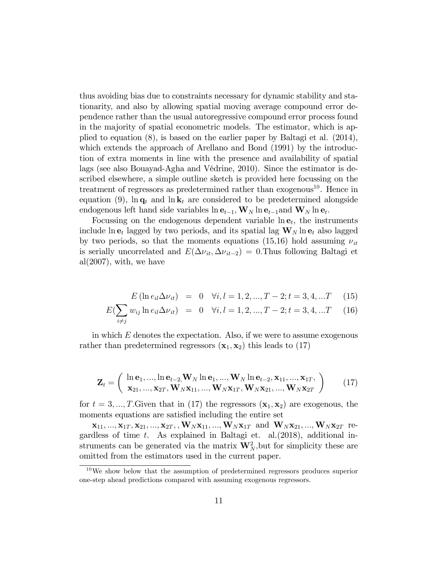thus avoiding bias due to constraints necessary for dynamic stability and stationarity, and also by allowing spatial moving average compound error dependence rather than the usual autoregressive compound error process found in the majority of spatial econometric models. The estimator, which is applied to equation (8), is based on the earlier paper by Baltagi et al. (2014), which extends the approach of Arellano and Bond (1991) by the introduction of extra moments in line with the presence and availability of spatial lags (see also Bouayad-Agha and Védrine, 2010). Since the estimator is described elsewhere, a simple outline sketch is provided here focussing on the treatment of regressors as predetermined rather than  $exogenous^{10}$ . Hence in equation (9),  $\ln \mathbf{q}_t$  and  $\ln \mathbf{k}_t$  are considered to be predetermined alongside endogenous left hand side variables  $\ln \mathbf{e}_{t-1}, \mathbf{W}_N \ln \mathbf{e}_{t-1}$ and  $\mathbf{W}_N \ln \mathbf{e}_t$ .

Focussing on the endogenous dependent variable  $\ln e_t$ , the instruments include  $\ln \mathbf{e}_t$  lagged by two periods, and its spatial lag  $\mathbf{W}_N \ln \mathbf{e}_t$  also lagged by two periods, so that the moments equations (15,16) hold assuming  $\nu_{it}$ is serially uncorrelated and  $E(\Delta v_{it}, \Delta v_{it-2}) = 0$ . Thus following Baltagi et al $(2007)$ , with, we have

$$
E(\ln e_{il}\Delta \nu_{it}) = 0 \quad \forall i, l = 1, 2, ..., T - 2; t = 3, 4, ...T \quad (15)
$$

$$
E(\sum_{i \neq j} w_{ij} \ln e_{il} \Delta \nu_{it}) = 0 \quad \forall i, l = 1, 2, ..., T - 2; t = 3, 4, ...T \quad (16)
$$

in which  $E$  denotes the expectation. Also, if we were to assume exogenous rather than predetermined regressors  $(\mathbf{x}_1, \mathbf{x}_2)$  this leads to (17)

$$
\mathbf{Z}_{t} = \begin{pmatrix} \ln \mathbf{e}_{1}, \dots, \ln \mathbf{e}_{t-2}, \mathbf{W}_{N} \ln \mathbf{e}_{1}, \dots, \mathbf{W}_{N} \ln \mathbf{e}_{t-2}, \mathbf{x}_{11}, \dots, \mathbf{x}_{1T}, \\ \mathbf{x}_{21}, \dots, \mathbf{x}_{2T}, \mathbf{W}_{N} \mathbf{x}_{11}, \dots, \mathbf{W}_{N} \mathbf{x}_{1T}, \mathbf{W}_{N} \mathbf{x}_{21}, \dots, \mathbf{W}_{N} \mathbf{x}_{2T} \end{pmatrix} (17)
$$

for  $t = 3, ..., T$ . Given that in (17) the regressors  $(\mathbf{x}_1, \mathbf{x}_2)$  are exogenous, the moments equations are satisfied including the entire set

 $\mathbf{x}_{11},...,\mathbf{x}_{1T},\mathbf{x}_{21},...,\mathbf{x}_{2T},$  ,  $\mathbf{W}_{N}\mathbf{x}_{11},...,\mathbf{W}_{N}\mathbf{x}_{1T}$  and  $\mathbf{W}_{N}\mathbf{x}_{21},...,\mathbf{W}_{N}\mathbf{x}_{2T}$  regardless of time  $t$ . As explained in Baltagi et. al.  $(2018)$ , additional instruments can be generated via the matrix  $\mathbf{W}_N^2$ , but for simplicity these are omitted from the estimators used in the current paper.

 $10\,\text{We show below that the assumption of predetermined regressors produces superior.}$ one-step ahead predictions compared with assuming exogenous regressors.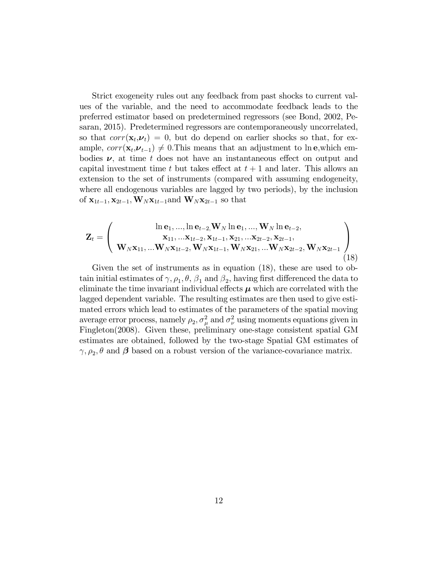Strict exogeneity rules out any feedback from past shocks to current values of the variable, and the need to accommodate feedback leads to the preferred estimator based on predetermined regressors (see Bond, 2002, Pesaran, 2015). Predetermined regressors are contemporaneously uncorrelated, so that  $corr(\mathbf{x}_t, \boldsymbol{\nu}_t) = 0$ , but do depend on earlier shocks so that, for example,  $corr(\mathbf{x}_t, \boldsymbol{\nu}_{t-1}) \neq 0$ . This means that an adjustment to ln e, which embodies  $\nu$ , at time t does not have an instantaneous effect on output and capital investment time t but takes effect at  $t + 1$  and later. This allows an extension to the set of instruments (compared with assuming endogeneity, where all endogenous variables are lagged by two periods), by the inclusion of  $\mathbf{x}_{1t-1}, \mathbf{x}_{2t-1}, \mathbf{W}_N \mathbf{x}_{1t-1}$  and  $\mathbf{W}_N \mathbf{x}_{2t-1}$  so that

$$
\mathbf{Z}_{t} = \left(\begin{array}{c} \ln \mathbf{e}_{1},...,\ln \mathbf{e}_{t-2}, \mathbf{W}_{N} \ln \mathbf{e}_{1},...,\mathbf{W}_{N} \ln \mathbf{e}_{t-2},\\ \mathbf{x}_{11},... \mathbf{x}_{1t-2}, \mathbf{x}_{1t-1}, \mathbf{x}_{21},... \mathbf{x}_{2t-2}, \mathbf{x}_{2t-1},\\ \mathbf{W}_{N} \mathbf{x}_{11},... \mathbf{W}_{N} \mathbf{x}_{1t-2}, \mathbf{W}_{N} \mathbf{x}_{1t-1}, \mathbf{W}_{N} \mathbf{x}_{21},... \mathbf{W}_{N} \mathbf{x}_{2t-2}, \mathbf{W}_{N} \mathbf{x}_{2t-1} \end{array}\right) (18)
$$

Given the set of instruments as in equation (18), these are used to obtain initial estimates of  $\gamma$ ,  $\rho_1$ ,  $\theta$ ,  $\beta_1$  and  $\beta_2$ , having first differenced the data to eliminate the time invariant individual effects  $\mu$  which are correlated with the lagged dependent variable. The resulting estimates are then used to give estimated errors which lead to estimates of the parameters of the spatial moving average error process, namely  $\rho_2$ ,  $\sigma_\mu^2$  and  $\sigma_\nu^2$  using moments equations given in Fingleton(2008). Given these, preliminary one-stage consistent spatial GM estimates are obtained, followed by the two-stage Spatial GM estimates of  $\gamma, \rho_2, \theta$  and  $\beta$  based on a robust version of the variance-covariance matrix.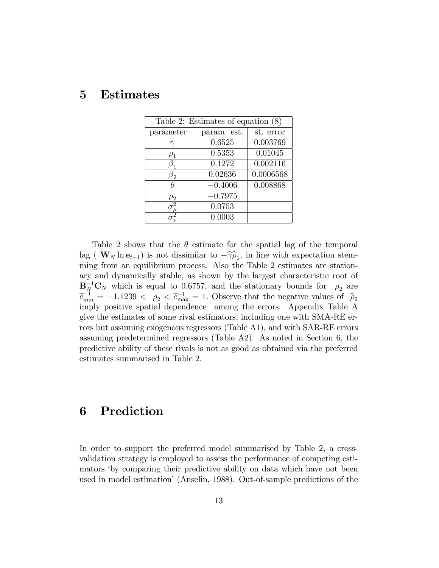# 5 Estimates

| Table 2: Estimates of equation $(8)$ |             |           |  |  |  |  |
|--------------------------------------|-------------|-----------|--|--|--|--|
| parameter                            | param. est. | st. error |  |  |  |  |
|                                      | 0.6525      | 0.003769  |  |  |  |  |
| $\rho_1$                             | 0.5353      | 0.01045   |  |  |  |  |
|                                      | 0.1272      | 0.002116  |  |  |  |  |
| $\mathfrak{I}_{2}$                   | 0.02636     | 0.0006568 |  |  |  |  |
|                                      | $-0.4006$   | 0.008868  |  |  |  |  |
| $\rm \mu_2$                          | $-0.7975$   |           |  |  |  |  |
|                                      | 0.0753      |           |  |  |  |  |
|                                      | 0.0003      |           |  |  |  |  |

Table 2 shows that the  $\theta$  estimate for the spatial lag of the temporal lag ( $\mathbf{W}_N \ln \mathbf{e}_{t-1}$ ) is not dissimilar to  $-\widehat{\gamma} \widehat{\rho}_1$ , in line with expectation stemming from an equilibrium process. Also the Table 2 estimates are stationary and dynamically stable, as shown by the largest characteristic root of  ${\bf B}_N^{-1}{\bf C}_N$  which is equal to 0.6757, and the stationary bounds for  $\rho_2$  are  $\widetilde{e}_{\text{min}}^{-1} = -1.1239 < \rho_2 < \widetilde{e}_{\text{max}}^{-1} = 1.$  Observe that the negative values of  $\widehat{\rho}_2$ imply positive spatial dependence among the errors. Appendix Table A give the estimates of some rival estimators, including one with SMA-RE errors but assuming exogenous regressors (Table A1), and with SAR-RE errors assuming predetermined regressors (Table A2). As noted in Section 6, the predictive ability of these rivals is not as good as obtained via the preferred estimates summarised in Table 2.

# 6 Prediction

In order to support the preferred model summarised by Table 2, a crossvalidation strategy is employed to assess the performance of competing estimators ëby comparing their predictive ability on data which have not been used in model estimationí (Anselin, 1988). Out-of-sample predictions of the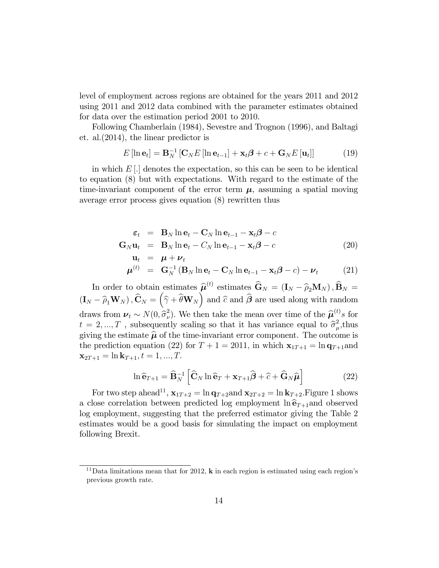level of employment across regions are obtained for the years 2011 and 2012 using 2011 and 2012 data combined with the parameter estimates obtained for data over the estimation period 2001 to 2010.

Following Chamberlain (1984), Sevestre and Trognon (1996), and Baltagi et. al.(2014), the linear predictor is

$$
E\left[\ln \mathbf{e}_t\right] = \mathbf{B}_N^{-1} \left[\mathbf{C}_N E\left[\ln \mathbf{e}_{t-1}\right] + \mathbf{x}_t \boldsymbol{\beta} + c + \mathbf{G}_N E\left[\mathbf{u}_t\right]\right]
$$
(19)

in which  $E[\cdot]$  denotes the expectation, so this can be seen to be identical to equation (8) but with expectations. With regard to the estimate of the time-invariant component of the error term  $\mu$ , assuming a spatial moving average error process gives equation (8) rewritten thus

$$
\varepsilon_t = \mathbf{B}_N \ln \mathbf{e}_t - \mathbf{C}_N \ln \mathbf{e}_{t-1} - \mathbf{x}_t \boldsymbol{\beta} - c
$$
  
\n
$$
\mathbf{G}_N \mathbf{u}_t = \mathbf{B}_N \ln \mathbf{e}_t - C_N \ln \mathbf{e}_{t-1} - \mathbf{x}_t \boldsymbol{\beta} - c
$$
  
\n
$$
\mathbf{u}_t = \boldsymbol{\mu} + \boldsymbol{\nu}_t
$$
\n(20)

$$
\boldsymbol{\mu}^{(t)} = \mathbf{G}_N^{-1} (\mathbf{B}_N \ln \mathbf{e}_t - \mathbf{C}_N \ln \mathbf{e}_{t-1} - \mathbf{x}_t \boldsymbol{\beta} - c) - \boldsymbol{\nu}_t \qquad (21)
$$

In order to obtain estimates  $\hat{\boldsymbol{\mu}}^{(t)}$  estimates  $\hat{\mathbf{G}}_N = (\mathbf{I}_N - \hat{\rho}_2 \mathbf{M}_N)$ ,  $\hat{\mathbf{B}}_N =$  $(\mathbf{I}_N - \widehat{\rho}_1 \mathbf{W}_N)$ ,  $\widehat{\mathbf{C}}_N = (\widehat{\gamma} + \widehat{\theta} \mathbf{W}_N)$  and  $\widehat{\sigma}$  and  $\widehat{\boldsymbol{\beta}}$  are used along with random draws from  $\boldsymbol{\nu}_t \sim N(0, \hat{\sigma}^2_{\nu})$ <sup>2</sup>). We then take the mean over time of the  $\hat{\mu}^{(t)}$  for  $t = 2, ..., T$ , subsequently scaling so that it has variance equal to  $\hat{\sigma}^2_\mu$  $_{\mu}^{2},$ thus giving the estimate  $\hat{\mu}$  of the time-invariant error component. The outcome is the prediction equation (22) for  $T + 1 = 2011$ , in which  $\mathbf{x}_{1T+1} = \ln \mathbf{q}_{T+1}$  and  $\mathbf{x}_{2T+1} = \ln \mathbf{k}_{T+1}, t = 1, ..., T.$ 

$$
\ln \widehat{\mathbf{e}}_{T+1} = \widehat{\mathbf{B}}_N^{-1} \left[ \widehat{\mathbf{C}}_N \ln \widehat{\mathbf{e}}_T + \mathbf{x}_{T+1} \widehat{\boldsymbol{\beta}} + \widehat{c} + \widehat{\mathbf{G}}_N \widehat{\boldsymbol{\mu}} \right]
$$
(22)

For two step ahead<sup>11</sup>,  $\mathbf{x}_{1T+2} = \ln \mathbf{q}_{T+2}$  and  $\mathbf{x}_{2T+2} = \ln \mathbf{k}_{T+2}$ . Figure 1 shows a close correlation between predicted log employment  $\ln \hat{\mathbf{e}}_{T+1}$ and observed log employment, suggesting that the preferred estimator giving the Table 2 estimates would be a good basis for simulating the impact on employment following Brexit.

<sup>&</sup>lt;sup>11</sup>Data limitations mean that for 2012, **k** in each region is estimated using each region's previous growth rate.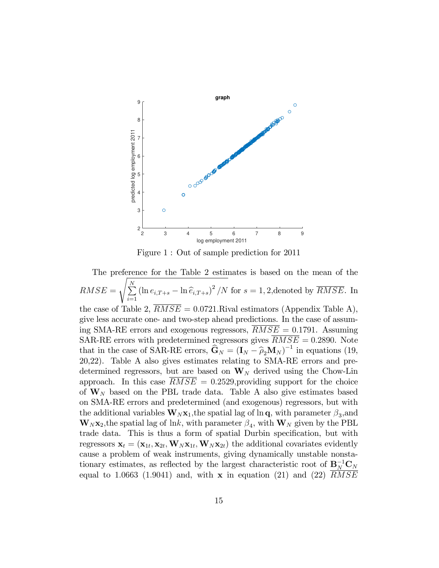

Figure 1 : Out of sample prediction for 2011

The preference for the Table 2 estimates is based on the mean of the  $RMSE =$  $\overline{\phantom{a}}$  $\sum_{i=1}^{N}$  $\sum_{i=1}^{N} (\ln e_{i,T+s} - \ln \widehat{e}_{i,T+s})^2/N$  for  $s = 1, 2$ , denoted by  $\overline{RMSE}$ . In the case of Table 2,  $RMSE = 0.0721$ . Rival estimators (Appendix Table A), give less accurate one- and two-step ahead predictions. In the case of assuming SMA-RE errors and exogenous regressors,  $RMSE = 0.1791$ . Assuming SAR-RE errors with predetermined regressors gives  $\overline{RMSE} = 0.2890$ . Note that in the case of SAR-RE errors,  $\hat{\mathbf{G}}_N = (\mathbf{I}_N - \hat{\rho}_2 \mathbf{M}_N)^{-1}$  in equations (19, 20,22). Table A also gives estimates relating to SMA-RE errors and predetermined regressors, but are based on  $W_N$  derived using the Chow-Lin approach. In this case  $RMSE = 0.2529$ , providing support for the choice of  $W_N$  based on the PBL trade data. Table A also give estimates based on SMA-RE errors and predetermined (and exogenous) regressors, but with the additional variables  $\mathbf{W}_N \mathbf{x}_1$ , the spatial lag of  $\ln q$ , with parameter  $\beta_3$ , and  $\mathbf{W}_N \mathbf{x}_2$ , the spatial lag of lnk, with parameter  $\beta_4$ , with  $\mathbf{W}_N$  given by the PBL trade data. This is thus a form of spatial Durbin specification, but with regressors  $\mathbf{x}_t = (\mathbf{x}_{1t}, \mathbf{x}_{2t}, \mathbf{W}_N \mathbf{x}_{1t}, \mathbf{W}_N \mathbf{x}_{2t})$  the additional covariates evidently cause a problem of weak instruments, giving dynamically unstable nonstationary estimates, as reflected by the largest characteristic root of  $B_N^{-1}C_N$ equal to 1.0663 (1.9041) and, with  $\bf{x}$  in equation (21) and (22)  $\overline{RMSE}$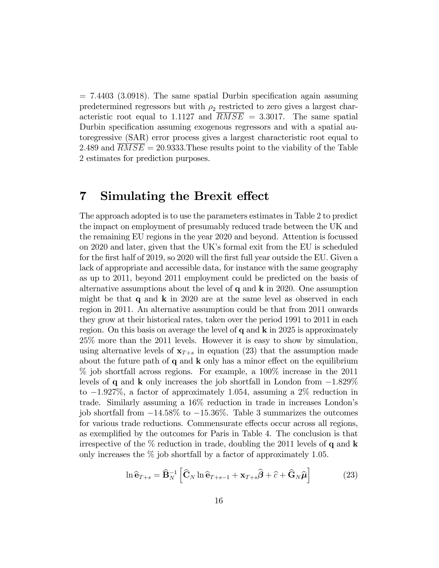$= 7.4403$  (3.0918). The same spatial Durbin specification again assuming predetermined regressors but with  $\rho_2$  restricted to zero gives a largest characteristic root equal to 1.1127 and  $RMSE = 3.3017$ . The same spatial Durbin specification assuming exogenous regressors and with a spatial autoregressive (SAR) error process gives a largest characteristic root equal to 2.489 and  $RMSE = 20.9333$ . These results point to the viability of the Table 2 estimates for prediction purposes.

### 7 Simulating the Brexit effect

The approach adopted is to use the parameters estimates in Table 2 to predict the impact on employment of presumably reduced trade between the UK and the remaining EU regions in the year 2020 and beyond. Attention is focussed on 2020 and later, given that the UK's formal exit from the EU is scheduled for the first half of 2019, so 2020 will the first full year outside the EU. Given a lack of appropriate and accessible data, for instance with the same geography as up to 2011, beyond 2011 employment could be predicted on the basis of alternative assumptions about the level of  $q$  and  $k$  in 2020. One assumption might be that  $q$  and  $k$  in 2020 are at the same level as observed in each region in 2011. An alternative assumption could be that from 2011 onwards they grow at their historical rates, taken over the period 1991 to 2011 in each region. On this basis on average the level of  $q$  and  $k$  in 2025 is approximately 25% more than the 2011 levels. However it is easy to show by simulation, using alternative levels of  $x_{T+s}$  in equation (23) that the assumption made about the future path of  $q$  and  $k$  only has a minor effect on the equilibrium % job shortfall across regions. For example, a 100% increase in the 2011 levels of q and **k** only increases the job shortfall in London from  $-1.829\%$ to  $-1.927\%$ , a factor of approximately 1.054, assuming a 2% reduction in trade. Similarly assuming a 16% reduction in trade in increases Londonís job shortfall from  $-14.58\%$  to  $-15.36\%$ . Table 3 summarizes the outcomes for various trade reductions. Commensurate effects occur across all regions, as exemplified by the outcomes for Paris in Table 4. The conclusion is that irrespective of the  $\%$  reduction in trade, doubling the 2011 levels of q and **k** only increases the  $\%$  job shortfall by a factor of approximately 1.05.

$$
\ln \widehat{\mathbf{e}}_{T+s} = \widehat{\mathbf{B}}_N^{-1} \left[ \widehat{\mathbf{C}}_N \ln \widehat{\mathbf{e}}_{T+s-1} + \mathbf{x}_{T+s} \widehat{\boldsymbol{\beta}} + \widehat{c} + \widehat{\mathbf{G}}_N \widehat{\boldsymbol{\mu}} \right]
$$
(23)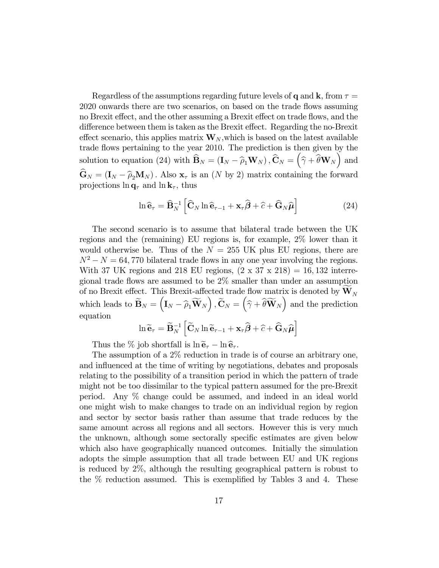Regardless of the assumptions regarding future levels of q and k, from  $\tau =$ 2020 onwards there are two scenarios, on based on the trade flows assuming no Brexit effect, and the other assuming a Brexit effect on trade flows, and the difference between them is taken as the Brexit effect. Regarding the no-Brexit effect scenario, this applies matrix  $\mathbf{W}_N$ , which is based on the latest available trade flows pertaining to the year 2010. The prediction is then given by the solution to equation (24) with  $\widehat{\mathbf{B}}_N = (\mathbf{I}_N - \widehat{\rho}_1 \mathbf{W}_N)$ ,  $\widehat{\mathbf{C}}_N = (\widehat{\gamma} + \widehat{\theta} \mathbf{W}_N)$  and  $\hat{\mathbf{G}}_N = (\mathbf{I}_N - \hat{\rho}_2 \mathbf{M}_N)$ . Also  $\mathbf{x}_{\tau}$  is an  $(N \text{ by } 2)$  matrix containing the forward projections  $\ln \mathbf{q}_{\tau}$  and  $\ln \mathbf{k}_{\tau}$ , thus

$$
\ln \widehat{\mathbf{e}}_{\tau} = \widehat{\mathbf{B}}_{N}^{-1} \left[ \widehat{\mathbf{C}}_{N} \ln \widehat{\mathbf{e}}_{\tau-1} + \mathbf{x}_{\tau} \widehat{\boldsymbol{\beta}} + \widehat{c} + \widehat{\mathbf{G}}_{N} \widehat{\boldsymbol{\mu}} \right]
$$
(24)

The second scenario is to assume that bilateral trade between the UK regions and the (remaining) EU regions is, for example, 2% lower than it would otherwise be. Thus of the  $N = 255$  UK plus EU regions, there are  $N^2 - N = 64,770$  bilateral trade flows in any one year involving the regions. With 37 UK regions and 218 EU regions,  $(2 \times 37 \times 218) = 16,132$  interregional trade flows are assumed to be  $2\%$  smaller than under an assumption of no Brexit effect. This Brexit-affected trade flow matrix is denoted by  $\mathbf{W}_N$ which leads to  $\widetilde{\mathbf{B}}_N = (\mathbf{I}_N - \widehat{\rho}_1 \widetilde{\mathbf{W}}_N), \widetilde{\mathbf{C}}_N = (\widehat{\gamma} + \widehat{\theta} \widetilde{\mathbf{W}}_N)$  and the prediction equation

$$
\ln \widetilde{\mathbf{e}}_{\tau} = \widetilde{\mathbf{B}}_{N}^{-1} \left[ \widetilde{\mathbf{C}}_{N} \ln \widetilde{\mathbf{e}}_{\tau-1} + \mathbf{x}_{\tau} \widehat{\boldsymbol{\beta}} + \widehat{c} + \widehat{\mathbf{G}}_{N} \widehat{\boldsymbol{\mu}} \right]
$$

Thus the % job shortfall is  $\ln \widetilde{\mathbf{e}}_{\tau} - \ln \widehat{\mathbf{e}}_{\tau}$ .

The assumption of a 2% reduction in trade is of course an arbitrary one, and influenced at the time of writing by negotiations, debates and proposals relating to the possibility of a transition period in which the pattern of trade might not be too dissimilar to the typical pattern assumed for the pre-Brexit period. Any % change could be assumed, and indeed in an ideal world one might wish to make changes to trade on an individual region by region and sector by sector basis rather than assume that trade reduces by the same amount across all regions and all sectors. However this is very much the unknown, although some sectorally specific estimates are given below which also have geographically nuanced outcomes. Initially the simulation adopts the simple assumption that all trade between EU and UK regions is reduced by 2%, although the resulting geographical pattern is robust to the  $\%$  reduction assumed. This is exemplified by Tables 3 and 4. These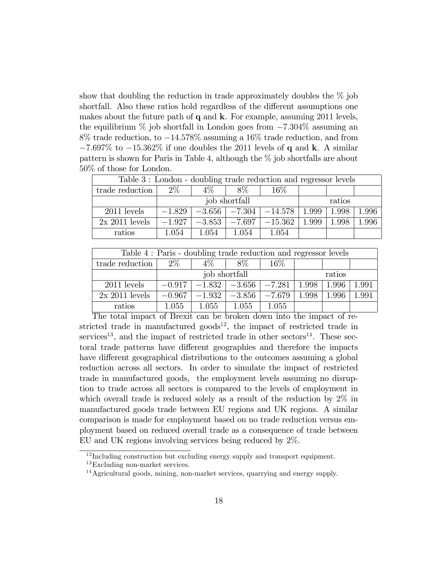show that doubling the reduction in trade approximately doubles the  $\%$  job shortfall. Also these ratios hold regardless of the different assumptions one makes about the future path of  $q$  and  $k$ . For example, assuming 2011 levels, the equilibrium  $\%$  job shortfall in London goes from  $-7.304\%$  assuming an  $8\%$  trade reduction, to  $-14.578\%$  assuming a 16% trade reduction, and from  $-7.697\%$  to  $-15.362\%$  if one doubles the 2011 levels of q and k. A similar pattern is shown for Paris in Table 4, although the % job shortfalls are about 50% of those for London.

| Table 3: London - doubling trade reduction and regressor levels |               |       |        |                                         |        |       |       |
|-----------------------------------------------------------------|---------------|-------|--------|-----------------------------------------|--------|-------|-------|
| trade reduction                                                 | $2\%$         | $4\%$ | 8%     | $16\%$                                  |        |       |       |
|                                                                 | job shortfall |       |        |                                         | ratios |       |       |
| $2011$ levels                                                   | $-1.829$      |       |        | $-3.656$   $-7.304$   $-14.578$   1.999 |        | 1.998 | 1.996 |
| $2x\ 2011$ levels                                               | $-1.927$      |       |        | $-3.853$   $-7.697$   $-15.362$         | 1.999  | 1.998 | 1.996 |
| ratios                                                          | 1.054         | 1.054 | 1 0.54 | 1.054                                   |        |       |       |

| Table 4: Paris - doubling trade reduction and regressor levels |               |          |                     |          |        |       |       |
|----------------------------------------------------------------|---------------|----------|---------------------|----------|--------|-------|-------|
| trade reduction                                                | $2\%$         | $4\%$    | 8%                  | $16\%$   |        |       |       |
|                                                                | job shortfall |          |                     |          | ratios |       |       |
| $2011$ levels                                                  | $-0.917$      |          | $-1.832$   $-3.656$ | $-7.281$ | 1.998  | 1.996 | 1.991 |
| $2x 2011$ levels                                               | $-0.967$      | $-1.932$ | $-3.856$            | $-7.679$ | 1.998  | 1.996 | 1.991 |
| ratios                                                         | 1.055         | 1 055    | 1.055               | 1.055    |        |       |       |

The total impact of Brexit can be broken down into the impact of restricted trade in manufactured goods<sup>12</sup>, the impact of restricted trade in services<sup>13</sup>, and the impact of restricted trade in other sectors<sup>14</sup>. These sectoral trade patterns have different geographies and therefore the impacts have different geographical distributions to the outcomes assuming a global reduction across all sectors. In order to simulate the impact of restricted trade in manufactured goods, the employment levels assuming no disruption to trade across all sectors is compared to the levels of employment in which overall trade is reduced solely as a result of the reduction by 2% in manufactured goods trade between EU regions and UK regions. A similar comparison is made for employment based on no trade reduction versus employment based on reduced overall trade as a consequence of trade between EU and UK regions involving services being reduced by 2%.

<sup>&</sup>lt;sup>12</sup> Including construction but excluding energy supply and transport equipment.

<sup>&</sup>lt;sup>13</sup>Excluding non-market services.

<sup>14</sup>Agricultural goods, mining, non-market services, quarrying and energy supply.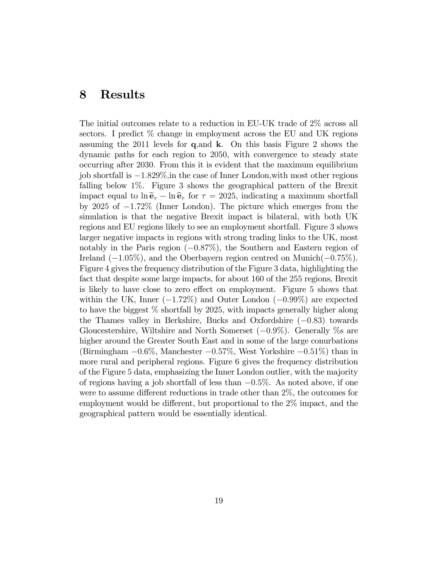# 8 Results

The initial outcomes relate to a reduction in EU-UK trade of 2% across all sectors. I predict  $\%$  change in employment across the EU and UK regions assuming the 2011 levels for  $q$ , and  $k$ . On this basis Figure 2 shows the dynamic paths for each region to 2050, with convergence to steady state occurring after 2030. From this it is evident that the maximum equilibrium job shortfall is  $-1.829\%$ , in the case of Inner London, with most other regions falling below 1%. Figure 3 shows the geographical pattern of the Brexit impact equal to  $\ln \tilde{\mathbf{e}}_{\tau} - \ln \hat{\mathbf{e}}_{\tau}$  for  $\tau = 2025$ , indicating a maximum shortfall by 2025 of  $-1.72\%$  (Inner London). The picture which emerges from the simulation is that the negative Brexit impact is bilateral, with both UK regions and EU regions likely to see an employment shortfall. Figure 3 shows larger negative impacts in regions with strong trading links to the UK, most notably in the Paris region  $(-0.87\%)$ , the Southern and Eastern region of Ireland  $(-1.05\%)$ , and the Oberbayern region centred on Munich $(-0.75\%)$ . Figure 4 gives the frequency distribution of the Figure 3 data, highlighting the fact that despite some large impacts, for about 160 of the 255 regions, Brexit is likely to have close to zero effect on employment. Figure 5 shows that within the UK, Inner  $(-1.72\%)$  and Outer London  $(-0.99\%)$  are expected to have the biggest % shortfall by 2025, with impacts generally higher along the Thames valley in Berkshire, Bucks and Oxfordshire  $(-0.83)$  towards Gloucestershire, Wiltshire and North Somerset  $(-0.9\%)$ . Generally %s are higher around the Greater South East and in some of the large conurbations (Birmingham  $-0.6\%$ , Manchester  $-0.57\%$ , West Yorkshire  $-0.51\%$ ) than in more rural and peripheral regions. Figure 6 gives the frequency distribution of the Figure 5 data, emphasizing the Inner London outlier, with the majority of regions having a job shortfall of less than  $-0.5\%$ . As noted above, if one were to assume different reductions in trade other than  $2\%$ , the outcomes for employment would be different, but proportional to the  $2\%$  impact, and the geographical pattern would be essentially identical.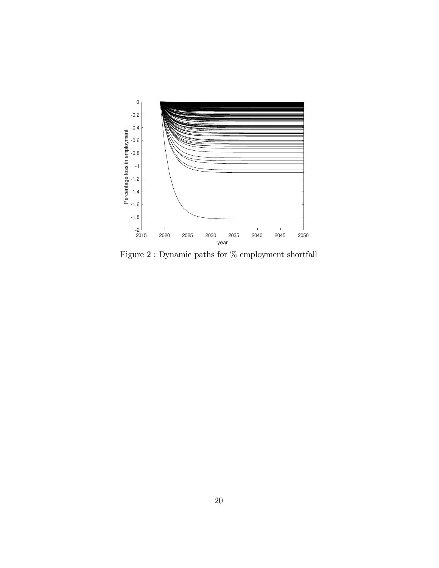

Figure 2 : Dynamic paths for  $\%$  employment shortfall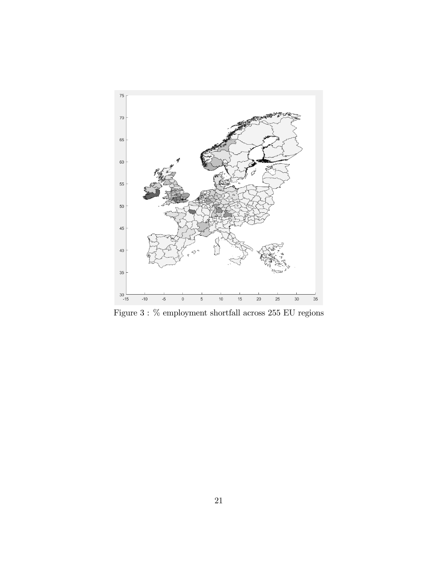

Figure 3 :  $\%$  employment shortfall across 255 EU regions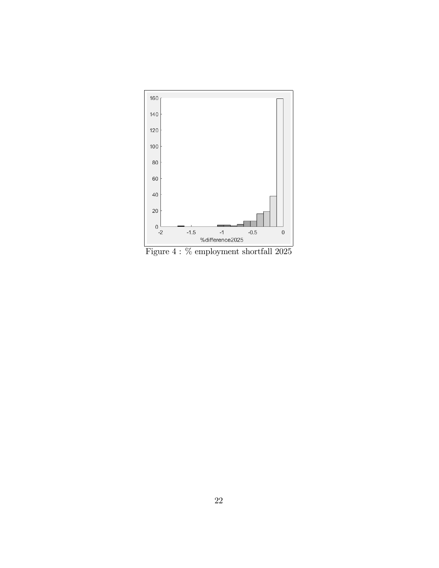

Figure 4 :  $\%$  employment shortfall  $2025$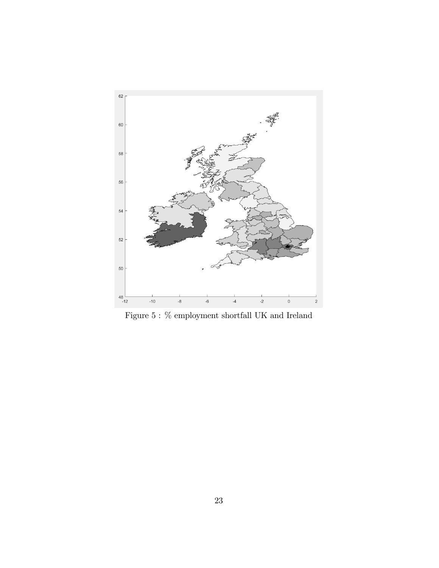

Figure 5 :  $\%$  employment shortfall UK and Ireland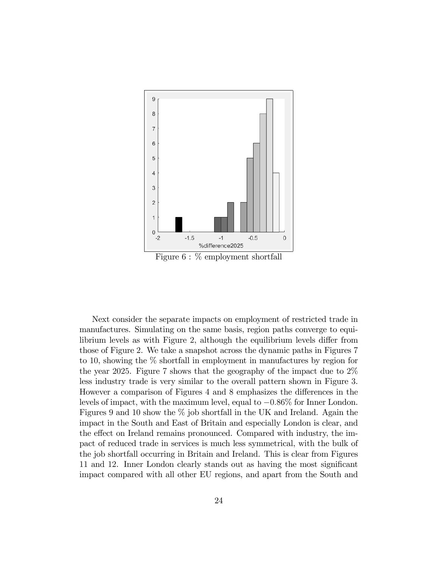

Figure 6 : % employment shortfall

Next consider the separate impacts on employment of restricted trade in manufactures. Simulating on the same basis, region paths converge to equilibrium levels as with Figure 2, although the equilibrium levels differ from those of Figure 2. We take a snapshot across the dynamic paths in Figures 7 to 10, showing the % shortfall in employment in manufactures by region for the year 2025. Figure 7 shows that the geography of the impact due to 2% less industry trade is very similar to the overall pattern shown in Figure 3. However a comparison of Figures 4 and 8 emphasizes the differences in the levels of impact, with the maximum level, equal to  $-0.86\%$  for Inner London. Figures 9 and 10 show the  $\%$  job shortfall in the UK and Ireland. Again the impact in the South and East of Britain and especially London is clear, and the effect on Ireland remains pronounced. Compared with industry, the impact of reduced trade in services is much less symmetrical, with the bulk of the job shortfall occurring in Britain and Ireland. This is clear from Figures 11 and 12. Inner London clearly stands out as having the most significant impact compared with all other EU regions, and apart from the South and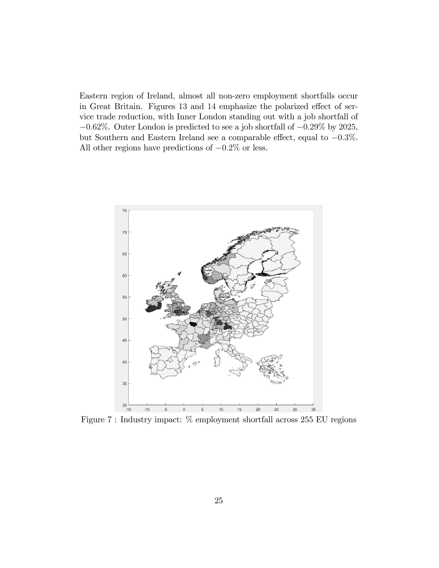Eastern region of Ireland, almost all non-zero employment shortfalls occur in Great Britain. Figures 13 and 14 emphasize the polarized effect of service trade reduction, with Inner London standing out with a job shortfall of  $-0.62\%$ . Outer London is predicted to see a job shortfall of  $-0.29\%$  by 2025, but Southern and Eastern Ireland see a comparable effect, equal to  $-0.3\%$ . All other regions have predictions of  $-0.2\%$  or less.



Figure 7 : Industry impact: % employment shortfall across 255 EU regions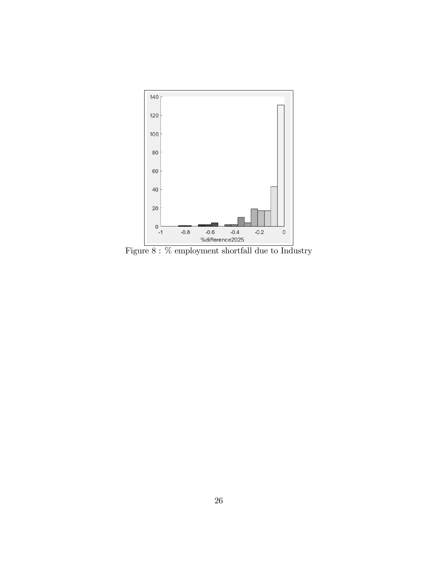

Figure  $8:$  % employment shortfall due to Industry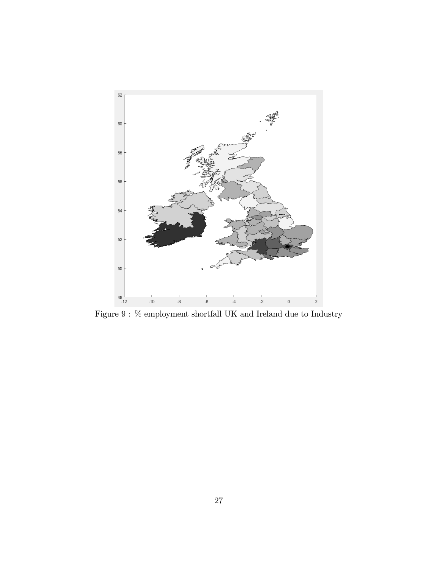

Figure 9 :  $\%$  employment shortfall UK and Ireland due to Industry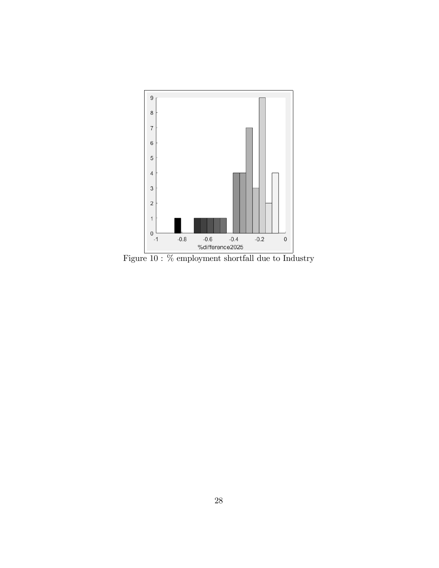

Figure 10 :  $\%$  employment shortfall due to Industry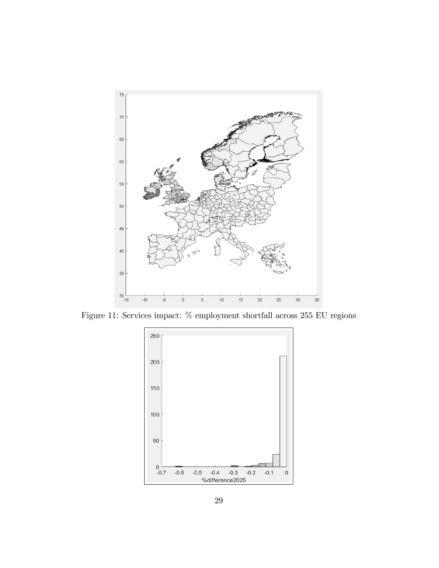

Figure 11: Services impact:  $\%$  employment shortfall across 255 EU regions

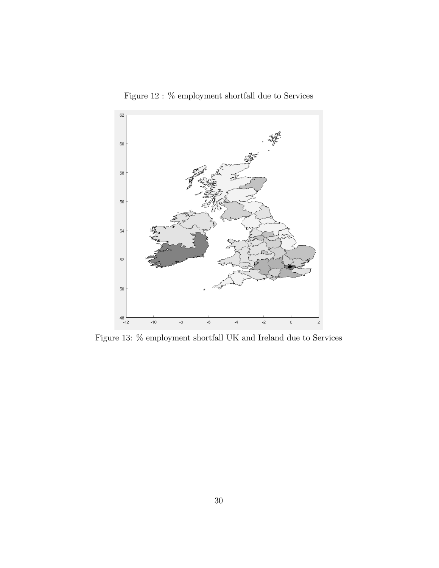

Figure 12 :  $\%$  employment shortfall due to Services

Figure 13: % employment shortfall UK and Ireland due to Services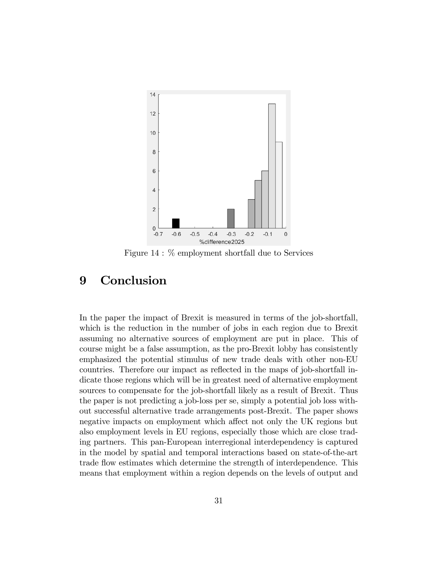

Figure 14 : % employment shortfall due to Services

# 9 Conclusion

In the paper the impact of Brexit is measured in terms of the job-shortfall, which is the reduction in the number of jobs in each region due to Brexit assuming no alternative sources of employment are put in place. This of course might be a false assumption, as the pro-Brexit lobby has consistently emphasized the potential stimulus of new trade deals with other non-EU countries. Therefore our impact as reflected in the maps of job-shortfall indicate those regions which will be in greatest need of alternative employment sources to compensate for the job-shortfall likely as a result of Brexit. Thus the paper is not predicting a job-loss per se, simply a potential job loss without successful alternative trade arrangements post-Brexit. The paper shows negative impacts on employment which affect not only the UK regions but also employment levels in EU regions, especially those which are close trading partners. This pan-European interregional interdependency is captured in the model by spatial and temporal interactions based on state-of-the-art trade áow estimates which determine the strength of interdependence. This means that employment within a region depends on the levels of output and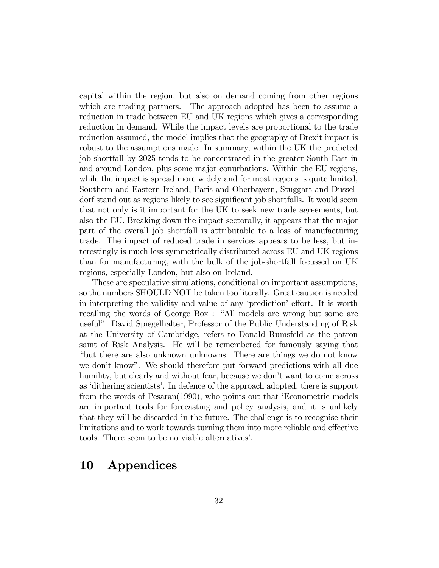capital within the region, but also on demand coming from other regions which are trading partners. The approach adopted has been to assume a reduction in trade between EU and UK regions which gives a corresponding reduction in demand. While the impact levels are proportional to the trade reduction assumed, the model implies that the geography of Brexit impact is robust to the assumptions made. In summary, within the UK the predicted job-shortfall by 2025 tends to be concentrated in the greater South East in and around London, plus some major conurbations. Within the EU regions, while the impact is spread more widely and for most regions is quite limited, Southern and Eastern Ireland, Paris and Oberbayern, Stuggart and Dusseldorf stand out as regions likely to see significant job shortfalls. It would seem that not only is it important for the UK to seek new trade agreements, but also the EU. Breaking down the impact sectorally, it appears that the major part of the overall job shortfall is attributable to a loss of manufacturing trade. The impact of reduced trade in services appears to be less, but interestingly is much less symmetrically distributed across EU and UK regions than for manufacturing, with the bulk of the job-shortfall focussed on UK regions, especially London, but also on Ireland.

These are speculative simulations, conditional on important assumptions, so the numbers SHOULD NOT be taken too literally. Great caution is needed in interpreting the validity and value of any 'prediction' effort. It is worth recalling the words of George Box : "All models are wrong but some are usefulî. David Spiegelhalter, Professor of the Public Understanding of Risk at the University of Cambridge, refers to Donald Rumsfeld as the patron saint of Risk Analysis. He will be remembered for famously saying that ìbut there are also unknown unknowns. There are things we do not know we don't know". We should therefore put forward predictions with all due humility, but clearly and without fear, because we don't want to come across as 'dithering scientists'. In defence of the approach adopted, there is support from the words of Pesaran(1990), who points out that 'Econometric models are important tools for forecasting and policy analysis, and it is unlikely that they will be discarded in the future. The challenge is to recognise their limitations and to work towards turning them into more reliable and effective tools. There seem to be no viable alternatives'.

# 10 Appendices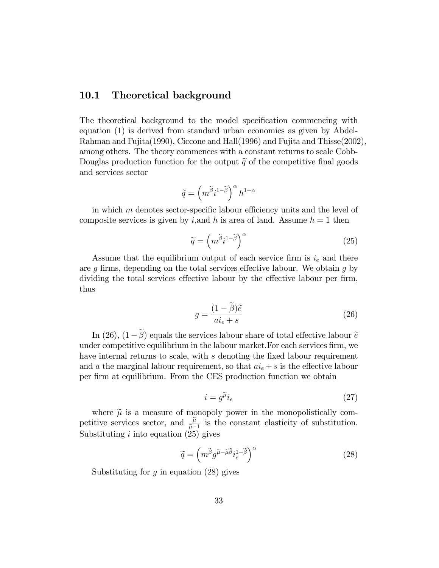#### 10.1 Theoretical background

The theoretical background to the model specification commencing with equation (1) is derived from standard urban economics as given by Abdel-Rahman and Fujita(1990), Ciccone and Hall(1996) and Fujita and Thisse(2002), among others. The theory commences with a constant returns to scale Cobb-Douglas production function for the output  $\tilde{q}$  of the competitive final goods and services sector

$$
\widetilde{q}=\left(m^{\widetilde{\beta}}i^{1-\widetilde{\beta}}\right)^{\alpha}h^{1-\alpha}
$$

in which  $m$  denotes sector-specific labour efficiency units and the level of composite services is given by *i*, and *h* is area of land. Assume  $h = 1$  then

$$
\widetilde{q} = \left(m^{\widetilde{\beta}}i^{1-\widetilde{\beta}}\right)^{\alpha} \tag{25}
$$

Assume that the equilibrium output of each service firm is  $i_e$  and there are  $g$  firms, depending on the total services effective labour. We obtain  $g$  by dividing the total services effective labour by the effective labour per firm, thus

$$
g = \frac{(1 - \tilde{\beta})\tilde{e}}{a i_e + s} \tag{26}
$$

In (26),  $(1-\tilde{\beta})$  equals the services labour share of total effective labour  $\tilde{e}$ under competitive equilibrium in the labour market. For each services firm, we have internal returns to scale, with  $s$  denoting the fixed labour requirement and a the marginal labour requirement, so that  $ai_e + s$  is the effective labour per firm at equilibrium. From the CES production function we obtain

$$
i = g^{\tilde{\mu}} i_e \tag{27}
$$

where  $\tilde{\mu}$  is a measure of monopoly power in the monopolistically competitive services sector, and  $\frac{\tilde{\mu}}{\tilde{\mu}-1}$  is the constant elasticity of substitution. Substituting  $i$  into equation  $(25)$  gives

$$
\widetilde{q} = \left( m^{\widetilde{\beta}} g^{\widetilde{\mu} - \widetilde{\mu}\widetilde{\beta}} i_e^{1 - \widetilde{\beta}} \right)^{\alpha} \tag{28}
$$

Substituting for  $g$  in equation  $(28)$  gives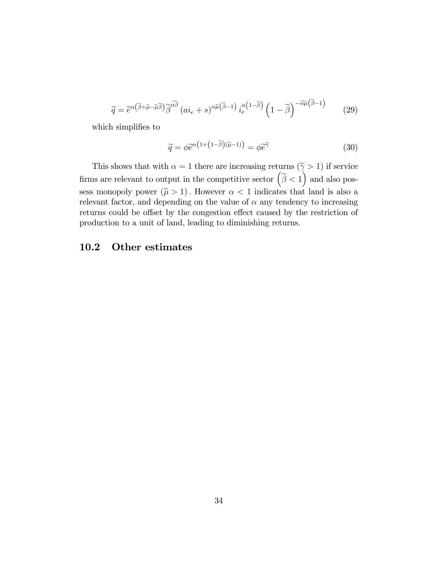$$
\widetilde{q} = \widetilde{e}^{\alpha(\widetilde{\beta} + \widetilde{\mu} - \widetilde{\mu}\widetilde{\beta})} \widetilde{\beta}^{\widetilde{\alpha}\widetilde{\beta}} \left( a i_e + s \right)^{\alpha \widetilde{\mu}(\widetilde{\beta} - 1)} i_e^{\alpha(1 - \widetilde{\beta})} \left( 1 - \widetilde{\beta} \right)^{-\widetilde{\alpha}\widetilde{\mu}(\widetilde{\beta} - 1)} \tag{29}
$$

which simplifies to

$$
\widetilde{q} = \phi \widetilde{e}^{\alpha \left(1 + \left(1 - \widetilde{\beta}\right)\left(\widetilde{\mu} - 1\right)\right)} = \phi \widetilde{e}^{\widetilde{\gamma}} \tag{30}
$$

This shows that with  $\alpha = 1$  there are increasing returns  $(\tilde{\gamma} > 1)$  if service firms are relevant to output in the competitive sector  $(\tilde{\beta} < 1)$  and also possess monopoly power  $(\tilde{\mu} > 1)$ . However  $\alpha < 1$  indicates that land is also a relevant factor, and depending on the value of  $\alpha$  any tendency to increasing returns could be offset by the congestion effect caused by the restriction of production to a unit of land, leading to diminishing returns.

#### 10.2 Other estimates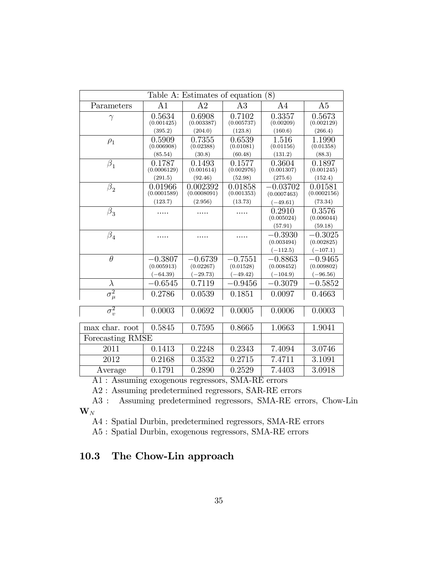| (8)<br>Table A: Estimates of equation |                         |                         |                        |                           |                         |  |  |
|---------------------------------------|-------------------------|-------------------------|------------------------|---------------------------|-------------------------|--|--|
| Parameters                            | A1                      | A <sub>2</sub>          | A3                     | A4                        | A <sub>5</sub>          |  |  |
| $\gamma$                              | 0.5634<br>(0.001425)    | 0.6908<br>(0.003387)    | 0.7102<br>(0.005737)   | 0.3357<br>(0.00209)       | 0.5673<br>(0.002129)    |  |  |
|                                       | (395.2)                 | (204.0)                 | (123.8)                | (160.6)                   | (266.4)                 |  |  |
| $\rho_1$                              | 0.5909<br>(0.006908)    | 0.7355<br>(0.02388)     | 0.6539<br>(0.01081)    | 1.516<br>(0.01156)        | 1.1990<br>(0.01358)     |  |  |
|                                       | (85.54)                 | (30.8)                  | (60.48)                | (131.2)                   | (88.3)                  |  |  |
| $\beta_1$                             | 0.1787<br>(0.0006129)   | 0.1493<br>(0.001614)    | 0.1577<br>(0.002976)   | 0.3604<br>(0.001307)      | 0.1897<br>(0.001245)    |  |  |
|                                       | (291.5)                 | (92.46)                 | (52.98)                | (275.6)                   | (152.4)                 |  |  |
| $\beta_2$                             | 0.01966<br>(0.0001589)  | 0.002392<br>(0.0008091) | 0.01858<br>(0.001353)  | $-0.03702$<br>(0.0007463) | 0.01581<br>(0.0002156)  |  |  |
|                                       | (123.7)                 | (2.956)                 | (13.73)                | $(-49.61)$                | (73.34)                 |  |  |
| $\beta_3$                             | .                       |                         | .                      | 0.2910<br>(0.005024)      | 0.3576<br>(0.006044)    |  |  |
|                                       |                         |                         |                        | (57.91)                   | (59.18)                 |  |  |
| $\beta_4$                             |                         |                         |                        | $-0.3930$<br>(0.003494)   | $-0.3025$<br>(0.002825) |  |  |
|                                       |                         |                         |                        | $(-112.5)$                | $(-107.1)$              |  |  |
| $\overline{\theta}$                   | $-0.3807$<br>(0.005913) | $-0.6739$<br>(0.02267)  | $-0.7551$<br>(0.01528) | $-0.8863$<br>(0.008452)   | $-0.9465$<br>(0.009802) |  |  |
|                                       | $(-64.39)$              | $(-29.73)$              | $(-49.42)$             | $(-104.9)$                | $(-96.56)$              |  |  |
| $\lambda$                             | $-0.6545$               | 0.7119                  | $-0.9456$              | $-0.3079$                 | $-0.5852$               |  |  |
| $\sigma^2_\mu$                        | 0.2786                  | 0.0539                  | 0.1851                 | 0.0097                    | 0.4663                  |  |  |
| $\sigma_v^2$                          | 0.0003                  | 0.0692                  | 0.0005                 | 0.0006                    | 0.0003                  |  |  |
| max char. root                        | 0.5845                  | 0.7595                  | 0.8665                 | 1.0663                    | 1.9041                  |  |  |
| Forecasting RMSE                      |                         |                         |                        |                           |                         |  |  |
| 2011                                  | 0.1413                  | 0.2248                  | 0.2343                 | 7.4094                    | 3.0746                  |  |  |
| 2012                                  | 0.2168                  | 0.3532                  | 0.2715                 | 7.4711                    | 3.1091                  |  |  |
| Average                               | 0.1791                  | 0.2890                  | 0.2529                 | 7.4403                    | 3.0918                  |  |  |

A1 : Assuming exogenous regressors, SMA-RE errors

A2 : Assuming predetermined regressors, SAR-RE errors

A3 : Assuming predetermined regressors, SMA-RE errors, Chow-Lin  $\mathbf{W}_N$ 

A4 : Spatial Durbin, predetermined regressors, SMA-RE errors

A5 : Spatial Durbin, exogenous regressors, SMA-RE errors

# 10.3 The Chow-Lin approach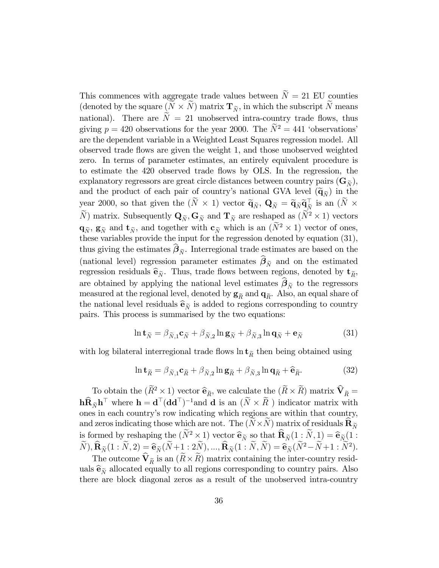This commences with aggregate trade values between  $N = 21$  EU counties (denoted by the square  $(N \times N)$  matrix  $\mathbf{T}_{N}$ , in which the subscript N means national). There are  $N = 21$  unobserved intra-country trade flows, thus giving  $p = 420$  observations for the year 2000. The  $\tilde{N}^2 = 441$  'observations' are the dependent variable in a Weighted Least Squares regression model. All observed trade áows are given the weight 1, and those unobserved weighted zero. In terms of parameter estimates, an entirely equivalent procedure is to estimate the 420 observed trade áows by OLS. In the regression, the explanatory regressors are great circle distances between country pairs  $(G_{\widetilde{\mathcal{N}}})$ , and the product of each pair of country's national GVA level  $(\tilde{\mathbf{q}}_{\tilde{N}})$  in the year 2000, so that given the  $(\tilde{N} \times 1)$  vector  $\tilde{\mathbf{q}}_{\tilde{N}}$ ,  $\mathbf{Q}_{\tilde{N}} = \tilde{\mathbf{q}}_{\tilde{N}} \tilde{\mathbf{q}}_{\tilde{N}}^{\top}$  is an  $(\tilde{N} \times \tilde{N})$ Ne) matrix. Subsequently  $\mathbf{Q}_{\widetilde{N}}$ ,  $\mathbf{G}_{\widetilde{N}}$  and  $\mathbf{T}_{\widetilde{N}}$  are reshaped as  $(N^2 \times 1)$  vectors  $\mathbf{q}_{\tilde{N}}$ ,  $\mathbf{g}_{\tilde{N}}$  and  $\mathbf{t}_{\tilde{N}}$ , and together with  $\mathbf{c}_{\tilde{N}}$  which is an  $(N^2 \times 1)$  vector of ones, these variables provide the input for the regression denoted by equation (31), thus giving the estimates  $\beta_{\tilde{N}}$ . Interregional trade estimates are based on the (national level) regression parameter estimates  $\beta_{\tilde{N}}$  and on the estimated regression residuals  $\hat{\mathbf{e}}_{\tilde{n}}$ . Thus, trade flows between regions, denoted by  $\mathbf{t}_{\tilde{R}}$ , are obtained by applying the national level estimates  $\beta_{\tilde{N}}$  to the regressors measured at the regional level, denoted by  $\mathbf{g}_{\tilde{R}}$  and  $\mathbf{q}_{\tilde{R}}$ . Also, an equal share of the national level residuals  $\hat{\mathbf{e}}_{\tilde{n}}$  is added to regions corresponding to country pairs. This process is summarised by the two equations:

$$
\ln \mathbf{t}_{\widetilde{N}} = \beta_{\widetilde{N},1} \mathbf{c}_{\widetilde{N}} + \beta_{\widetilde{N},2} \ln \mathbf{g}_{\widetilde{N}} + \beta_{\widetilde{N},3} \ln \mathbf{q}_{\widetilde{N}} + \mathbf{e}_{\widetilde{N}}
$$
(31)

with log bilateral interregional trade flows  $\ln t_{\tilde{R}}$  then being obtained using

$$
\ln \mathbf{t}_{\tilde{R}} = \beta_{\tilde{N},1} \mathbf{c}_{\tilde{R}} + \beta_{\tilde{N},2} \ln \mathbf{g}_{\tilde{R}} + \beta_{\tilde{N},3} \ln \mathbf{q}_{\tilde{R}} + \hat{\mathbf{e}}_{\tilde{R}}.
$$
 (32)

To obtain the  $(R^2 \times 1)$  vector  $\hat{\mathbf{e}}_{\tilde{R}}$ , we calculate the  $(R \times R)$  matrix  $\hat{\mathbf{V}}_{\tilde{R}} =$  $\mathbf{h} \widehat{\mathbf{R}}_{\widetilde{N}} \mathbf{h}^{\top}$  where  $\mathbf{h} = \mathbf{d}^{\top} (\mathbf{d} \mathbf{d}^{\top})^{-1}$  and  $\mathbf{d}$  is an  $(\widetilde{N} \times \widetilde{R})$  indicator matrix with ones in each countryís row indicating which regions are within that country, and zeros indicating those which are not. The  $(N \times N)$  matrix of residuals  $\mathbf{R}_{\widetilde{N}}$ is formed by reshaping the  $(N^2 \times 1)$  vector  $\hat{\mathbf{e}}_{\tilde{N}}$  so that  $\hat{\mathbf{R}}_{\tilde{N}}(1 : \tilde{N}, 1) = \hat{\mathbf{e}}_{\tilde{N}}(1 : \tilde{N}, \tilde{N})$  $\hat{N}$ ,  $\hat{\mathbf{R}}_{\widetilde{N}}(1:N,2) = \hat{\mathbf{e}}_{\widetilde{N}}(\hat{N}+1:2\hat{N}),...,\hat{\mathbf{R}}_{\widetilde{N}}(1:N,\hat{N}) = \hat{\mathbf{e}}_{\widetilde{N}}(\hat{N}^2-N+1:N^2).$ 

The outcome  $\mathbf{V}_{\widetilde{R}}$  is an  $(R \times R)$  matrix containing the inter-country residuals  $\hat{\mathbf{e}}_{\tilde{n}}$  allocated equally to all regions corresponding to country pairs. Also there are block diagonal zeros as a result of the unobserved intra-country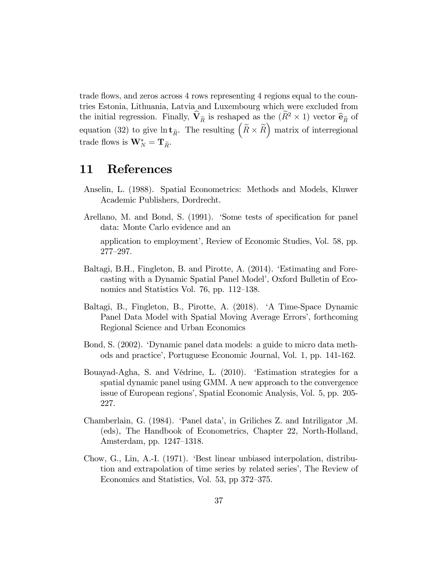trade flows, and zeros across 4 rows representing 4 regions equal to the countries Estonia, Lithuania, Latvia and Luxembourg which were excluded from the initial regression. Finally,  $\hat{\mathbf{V}}_{\tilde{R}}$  is reshaped as the  $(\hat{R}^2 \times 1)$  vector  $\hat{\mathbf{e}}_{\tilde{R}}$  of equation (32) to give  $\ln \mathbf{t}_{\tilde{R}}$ . The resulting  $(\tilde{R} \times \tilde{R})$  matrix of interregional trade flows is  $\mathbf{W}_{N}^{*} = \mathbf{T}_{\widetilde{R}}$ .

#### 11 References

- Anselin, L. (1988). Spatial Econometrics: Methods and Models, Kluwer Academic Publishers, Dordrecht.
- Arellano, M. and Bond, S. (1991). Some tests of specification for panel data: Monte Carlo evidence and an

application to employment', Review of Economic Studies, Vol. 58, pp.  $277 - 297$ .

- Baltagi, B.H., Fingleton, B. and Pirotte, A. (2014). Estimating and Forecasting with a Dynamic Spatial Panel Model', Oxford Bulletin of Economics and Statistics Vol. 76, pp.  $112-138$ .
- Baltagi, B., Fingleton, B., Pirotte, A. (2018). ëA Time-Space Dynamic Panel Data Model with Spatial Moving Average Errors', forthcoming Regional Science and Urban Economics
- Bond, S. (2002). ëDynamic panel data models: a guide to micro data methods and practiceí, Portuguese Economic Journal, Vol. 1, pp. 141-162.
- Bouayad-Agha, S. and Védrine, L. (2010). Estimation strategies for a spatial dynamic panel using GMM. A new approach to the convergence issue of European regions', Spatial Economic Analysis, Vol. 5, pp. 205-227.
- Chamberlain, G. (1984). 'Panel data', in Griliches Z. and Intriligator ,M. (eds), The Handbook of Econometrics, Chapter 22, North-Holland, Amsterdam, pp. 1247–1318.
- Chow, G., Lin, A.-I. (1971). ëBest linear unbiased interpolation, distribution and extrapolation of time series by related series', The Review of Economics and Statistics, Vol. 53, pp 372–375.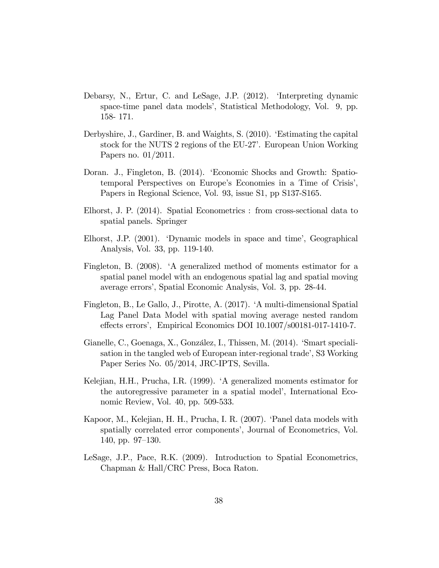- Debarsy, N., Ertur, C. and LeSage, J.P. (2012). 'Interpreting dynamic space-time panel data models', Statistical Methodology, Vol. 9, pp. 158- 171.
- Derbyshire, J., Gardiner, B. and Waights, S. (2010). ëEstimating the capital stock for the NUTS 2 regions of the EU-27<sup>'</sup>. European Union Working Papers no. 01/2011.
- Doran. J., Fingleton, B. (2014). ëEconomic Shocks and Growth: Spatiotemporal Perspectives on Europe's Economies in a Time of Crisis', Papers in Regional Science, Vol. 93, issue S1, pp S137-S165.
- Elhorst, J. P. (2014). Spatial Econometrics : from cross-sectional data to spatial panels. Springer
- Elhorst, J.P. (2001). 'Dynamic models in space and time', Geographical Analysis, Vol. 33, pp. 119-140.
- Fingleton, B. (2008). <sup>A</sup> generalized method of moments estimator for a spatial panel model with an endogenous spatial lag and spatial moving average errorsí, Spatial Economic Analysis, Vol. 3, pp. 28-44.
- Fingleton, B., Le Gallo, J., Pirotte, A. (2017). ëA multi-dimensional Spatial Lag Panel Data Model with spatial moving average nested random effects errors', Empirical Economics DOI 10.1007/s00181-017-1410-7.
- Gianelle, C., Goenaga, X., González, I., Thissen, M. (2014). Smart specialisation in the tangled web of European inter-regional trade<sup>7</sup>, S3 Working Paper Series No. 05/2014, JRC-IPTS, Sevilla.
- Kelejian, H.H., Prucha, I.R. (1999). <sup>A</sup> generalized moments estimator for the autoregressive parameter in a spatial model', International Economic Review, Vol. 40, pp. 509-533.
- Kapoor, M., Kelejian, H. H., Prucha, I. R. (2007). 'Panel data models with spatially correlated error components', Journal of Econometrics, Vol. 140, pp.  $97-130$ .
- LeSage, J.P., Pace, R.K. (2009). Introduction to Spatial Econometrics, Chapman & Hall/CRC Press, Boca Raton.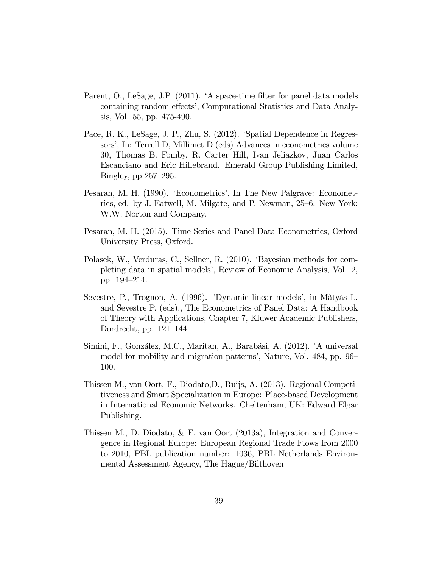- Parent, O., LeSage, J.P. (2011). 'A space-time filter for panel data models containing random effects', Computational Statistics and Data Analysis, Vol. 55, pp. 475-490.
- Pace, R. K., LeSage, J. P., Zhu, S. (2012). 'Spatial Dependence in Regressors', In: Terrell D, Millimet D (eds) Advances in econometrics volume 30, Thomas B. Fomby, R. Carter Hill, Ivan Jeliazkov, Juan Carlos Escanciano and Eric Hillebrand. Emerald Group Publishing Limited, Bingley, pp  $257-295$ .
- Pesaran, M. H. (1990). 'Econometrics', In The New Palgrave: Econometrics, ed. by J. Eatwell, M. Milgate, and P. Newman, 25–6. New York: W.W. Norton and Company.
- Pesaran, M. H. (2015). Time Series and Panel Data Econometrics, Oxford University Press, Oxford.
- Polasek, W., Verduras, C., Sellner, R. (2010). 'Bayesian methods for completing data in spatial models', Review of Economic Analysis, Vol. 2, pp. 194–214.
- Sevestre, P., Trognon, A. (1996). 'Dynamic linear models', in Màtyàs L. and Sevestre P. (eds)., The Econometrics of Panel Data: A Handbook of Theory with Applications, Chapter 7, Kluwer Academic Publishers, Dordrecht, pp.  $121-144$ .
- Simini, F., González, M.C., Maritan, A., Barabási, A. (2012). 'A universal model for mobility and migration patterns', Nature, Vol. 484, pp. 96 100.
- Thissen M., van Oort, F., Diodato,D., Ruijs, A. (2013). Regional Competitiveness and Smart Specialization in Europe: Place-based Development in International Economic Networks. Cheltenham, UK: Edward Elgar Publishing.
- Thissen M., D. Diodato, & F. van Oort (2013a), Integration and Convergence in Regional Europe: European Regional Trade Flows from 2000 to 2010, PBL publication number: 1036, PBL Netherlands Environmental Assessment Agency, The Hague/Bilthoven